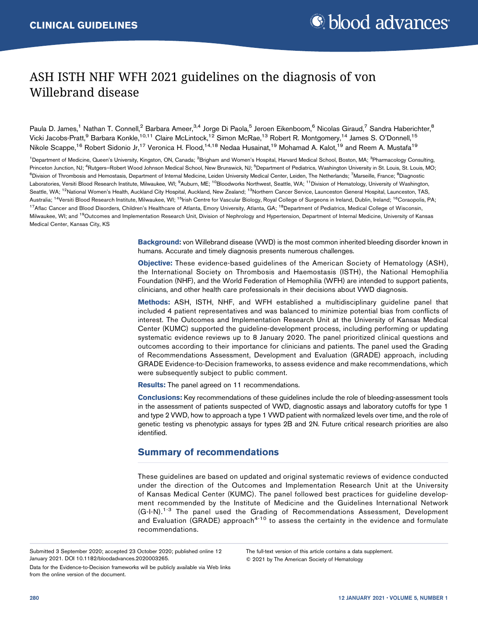# ASH ISTH NHF WFH 2021 guidelines on the diagnosis of von Willebrand disease

Paula D. James,<sup>1</sup> Nathan T. Connell,<sup>2</sup> Barbara Ameer,<sup>3,4</sup> Jorge Di Paola,<sup>5</sup> Jeroen Eikenboom,<sup>6</sup> Nicolas Giraud,<sup>7</sup> Sandra Haberichter,<sup>8</sup> Vicki Jacobs-Pratt,<sup>9</sup> Barbara Konkle,<sup>10,11</sup> Claire McLintock,<sup>12</sup> Simon McRae,<sup>13</sup> Robert R. Montgomery,<sup>14</sup> James S. O'Donnell,<sup>15</sup> Nikole Scappe,<sup>16</sup> Robert Sidonio Jr,<sup>17</sup> Veronica H. Flood,<sup>14,18</sup> Nedaa Husainat,<sup>19</sup> Mohamad A. Kalot,<sup>19</sup> and Reem A. Mustafa<sup>19</sup>

<sup>1</sup>Department of Medicine, Queen's University, Kingston, ON, Canada; <sup>2</sup>Brigham and Women's Hospital, Harvard Medical School, Boston, MA; <sup>3</sup>Pharmacology Consulting, Princeton Junction, NJ; <sup>4</sup>Rutgers–Robert Wood Johnson Medical School, New Brunswick, NJ; <sup>5</sup>Department of Pediatrics, Washington University in St. Louis, St. Louis, MO; <sup>6</sup>Division of Thrombosis and Hemostasis, Department of Internal Medicine, Leiden University Medical Center, Leiden, The Netherlands; <sup>7</sup>Marseille, France; <sup>8</sup>Diagnostic Laboratories, Versiti Blood Research Institute, Milwaukee, WI; <sup>9</sup>Auburn, ME; <sup>10</sup>Bloodworks Northwest, Seattle, WA; <sup>11</sup>Division of Hematology, University of Washington, Seattle, WA; <sup>12</sup>National Women's Health, Auckland City Hospital, Auckland, New Zealand; <sup>13</sup>Northern Cancer Service, Launceston General Hospital, Launceston, TAS, Australia; <sup>14</sup>Versiti Blood Research Institute, Milwaukee, WI; <sup>15</sup>Irish Centre for Vascular Biology, Royal College of Surgeons in Ireland, Dublin, Ireland; <sup>16</sup>Coraopolis, PA; <sup>17</sup>Aflac Cancer and Blood Disorders, Children's Healthcare of Atlanta, Emory University, Atlanta, GA; <sup>18</sup>Department of Pediatrics, Medical College of Wisconsin, Milwaukee, WI; and <sup>19</sup>Outcomes and Implementation Research Unit, Division of Nephrology and Hypertension, Department of Internal Medicine, University of Kansas Medical Center, Kansas City, KS

> Background: von Willebrand disease (VWD) is the most common inherited bleeding disorder known in humans. Accurate and timely diagnosis presents numerous challenges.

> Objective: These evidence-based guidelines of the American Society of Hematology (ASH), the International Society on Thrombosis and Haemostasis (ISTH), the National Hemophilia Foundation (NHF), and the World Federation of Hemophilia (WFH) are intended to support patients, clinicians, and other health care professionals in their decisions about VWD diagnosis.

> Methods: ASH, ISTH, NHF, and WFH established a multidisciplinary guideline panel that included 4 patient representatives and was balanced to minimize potential bias from conflicts of interest. The Outcomes and Implementation Research Unit at the University of Kansas Medical Center (KUMC) supported the guideline-development process, including performing or updating systematic evidence reviews up to 8 January 2020. The panel prioritized clinical questions and outcomes according to their importance for clinicians and patients. The panel used the Grading of Recommendations Assessment, Development and Evaluation (GRADE) approach, including GRADE Evidence-to-Decision frameworks, to assess evidence and make recommendations, which were subsequently subject to public comment.

Results: The panel agreed on 11 recommendations.

Conclusions: Key recommendations of these guidelines include the role of bleeding-assessment tools in the assessment of patients suspected of VWD, diagnostic assays and laboratory cutoffs for type 1 and type 2 VWD, how to approach a type 1 VWD patient with normalized levels over time, and the role of genetic testing vs phenotypic assays for types 2B and 2N. Future critical research priorities are also identified.

# Summary of recommendations

These guidelines are based on updated and original systematic reviews of evidence conducted under the direction of the Outcomes and Implementation Research Unit at the University of Kansas Medical Center (KUMC). The panel followed best practices for guideline development recommended by the Institute of Medicine and the Guidelines International Network (G-I-N).1-3 The panel used the Grading of Recommendations Assessment, Development and Evaluation (GRADE) approach<sup>4-10</sup> to assess the certainty in the evidence and formulate recommendations.

Submitted 3 September 2020; accepted 23 October 2020; published online 12 January 2021. DOI 10.1182/bloodadvances.2020003265.

The full-text version of this article contains a data supplement. © 2021 by The American Society of Hematology

Data for the Evidence-to-Decision frameworks will be publicly available via Web links from the online version of the document.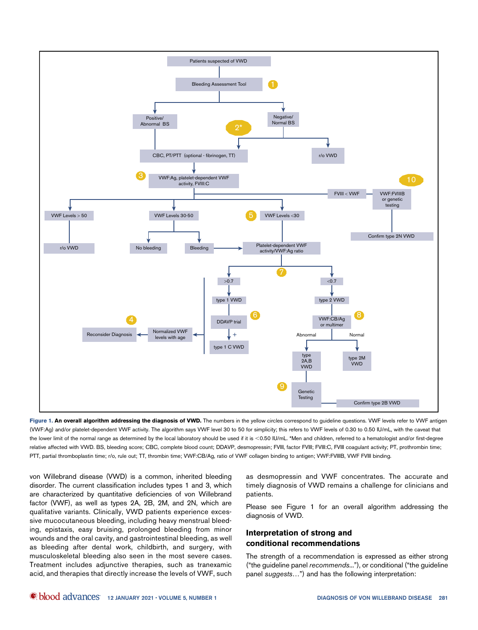

Figure 1. An overall algorithm addressing the diagnosis of VWD. The numbers in the yellow circles correspond to guideline questions. VWF levels refer to VWF antigen (VWF:Ag) and/or platelet-dependent VWF activity. The algorithm says VWF level 30 to 50 for simplicity; this refers to VWF levels of 0.30 to 0.50 IU/mL, with the caveat that the lower limit of the normal range as determined by the local laboratory should be used if it is <0.50 IU/mL. \*Men and children, referred to a hematologist and/or first-degree relative affected with VWD. BS, bleeding score; CBC, complete blood count; DDAVP, desmopressin; FVIII, factor FVIII; FVIII:C, FVIII coagulant activity; PT, prothrombin time; PTT, partial thromboplastin time; r/o, rule out; TT, thrombin time; VWF:CB/Ag, ratio of VWF collagen binding to antigen; VWF:FVIIIB, VWF FVIII binding.

von Willebrand disease (VWD) is a common, inherited bleeding disorder. The current classification includes types 1 and 3, which are characterized by quantitative deficiencies of von Willebrand factor (VWF), as well as types 2A, 2B, 2M, and 2N, which are qualitative variants. Clinically, VWD patients experience excessive mucocutaneous bleeding, including heavy menstrual bleeding, epistaxis, easy bruising, prolonged bleeding from minor wounds and the oral cavity, and gastrointestinal bleeding, as well as bleeding after dental work, childbirth, and surgery, with musculoskeletal bleeding also seen in the most severe cases. Treatment includes adjunctive therapies, such as tranexamic acid, and therapies that directly increase the levels of VWF, such as desmopressin and VWF concentrates. The accurate and timely diagnosis of VWD remains a challenge for clinicians and patients.

Please see Figure 1 for an overall algorithm addressing the diagnosis of VWD.

# Interpretation of strong and conditional recommendations

The strength of a recommendation is expressed as either strong ("the guideline panel recommends..."), or conditional ("the guideline panel suggests…") and has the following interpretation: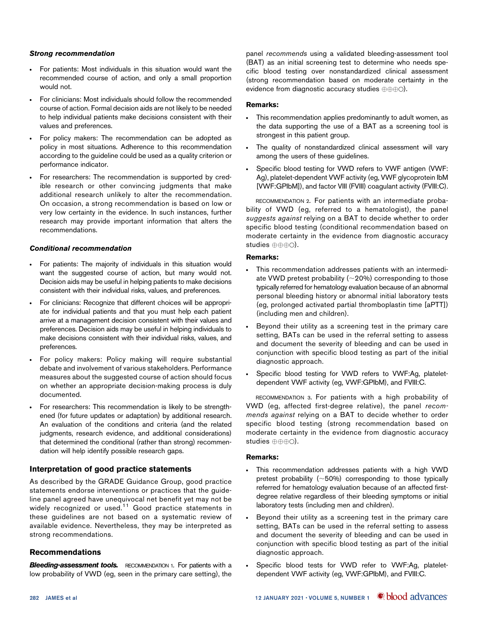#### Strong recommendation

- For patients: Most individuals in this situation would want the recommended course of action, and only a small proportion would not.
- For clinicians: Most individuals should follow the recommended course of action. Formal decision aids are not likely to be needed to help individual patients make decisions consistent with their values and preferences.
- For policy makers: The recommendation can be adopted as policy in most situations. Adherence to this recommendation according to the guideline could be used as a quality criterion or performance indicator.
- For researchers: The recommendation is supported by credible research or other convincing judgments that make additional research unlikely to alter the recommendation. On occasion, a strong recommendation is based on low or very low certainty in the evidence. In such instances, further research may provide important information that alters the recommendations.

#### Conditional recommendation

- For patients: The majority of individuals in this situation would want the suggested course of action, but many would not. Decision aids may be useful in helping patients to make decisions consistent with their individual risks, values, and preferences.
- For clinicians: Recognize that different choices will be appropriate for individual patients and that you must help each patient arrive at a management decision consistent with their values and preferences. Decision aids may be useful in helping individuals to make decisions consistent with their individual risks, values, and preferences.
- For policy makers: Policy making will require substantial debate and involvement of various stakeholders. Performance measures about the suggested course of action should focus on whether an appropriate decision-making process is duly documented.
- For researchers: This recommendation is likely to be strengthened (for future updates or adaptation) by additional research. An evaluation of the conditions and criteria (and the related judgments, research evidence, and additional considerations) that determined the conditional (rather than strong) recommendation will help identify possible research gaps.

### Interpretation of good practice statements

As described by the GRADE Guidance Group, good practice statements endorse interventions or practices that the guideline panel agreed have unequivocal net benefit yet may not be widely recognized or used.<sup>11</sup> Good practice statements in these guidelines are not based on a systematic review of available evidence. Nevertheless, they may be interpreted as strong recommendations.

### Recommendations

**Bleeding-assessment tools.** [RECOMMENDATION 1](#page-8-0). For patients with a low probability of VWD (eg, seen in the primary care setting), the

panel recommends using a validated bleeding-assessment tool (BAT) as an initial screening test to determine who needs specific blood testing over nonstandardized clinical assessment (strong recommendation based on moderate certainty in the evidence from diagnostic accuracy studies  $\oplus \oplus \oplus \odot$ ).

#### Remarks:

- This recommendation applies predominantly to adult women, as the data supporting the use of a BAT as a screening tool is strongest in this patient group.
- The quality of nonstandardized clinical assessment will vary among the users of these guidelines.
- Specific blood testing for VWD refers to VWF antigen (VWF: Ag), platelet-dependent VWF activity (eg, VWF glycoprotein IbM [VWF:GPIbM]), and factor VIII (FVIII) coagulant activity (FVIII:C).

[RECOMMENDATION 2](#page-8-0). For patients with an intermediate probability of VWD (eg, referred to a hematologist), the panel suggests against relying on a BAT to decide whether to order specific blood testing (conditional recommendation based on moderate certainty in the evidence from diagnostic accuracy studies  $\oplus \oplus \oplus \odot$ ).

### Remarks:

- This recommendation addresses patients with an intermediate VWD pretest probability ( $\sim$  20%) corresponding to those typically referred for hematology evaluation because of an abnormal personal bleeding history or abnormal initial laboratory tests (eg, prolonged activated partial thromboplastin time [aPTT]) (including men and children).
- Beyond their utility as a screening test in the primary care setting, BATs can be used in the referral setting to assess and document the severity of bleeding and can be used in conjunction with specific blood testing as part of the initial diagnostic approach.
- Specific blood testing for VWD refers to VWF:Ag, plateletdependent VWF activity (eg, VWF:GPIbM), and FVIII:C.

[RECOMMENDATION 3](#page-8-0). For patients with a high probability of VWD (eg, affected first-degree relative), the panel recommends against relying on a BAT to decide whether to order specific blood testing (strong recommendation based on moderate certainty in the evidence from diagnostic accuracy studies **⊕**⊕⊕○).

#### Remarks:

- This recommendation addresses patients with a high VWD pretest probability  $(\sim 50\%)$  corresponding to those typically referred for hematology evaluation because of an affected firstdegree relative regardless of their bleeding symptoms or initial laboratory tests (including men and children).
- Beyond their utility as a screening test in the primary care setting, BATs can be used in the referral setting to assess and document the severity of bleeding and can be used in conjunction with specific blood testing as part of the initial diagnostic approach.
- Specific blood tests for VWD refer to VWF:Ag, plateletdependent VWF activity (eg, VWF:GPIbM), and FVIII:C.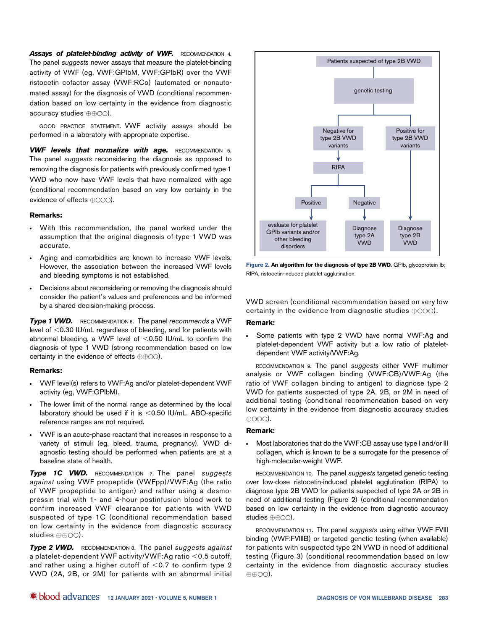Assays of platelet-binding activity of VWF. [RECOMMENDATION 4](#page-9-0). The panel suggests newer assays that measure the platelet-binding activity of VWF (eg, VWF:GPIbM, VWF:GPIbR) over the VWF ristocetin cofactor assay (VWF:RCo) (automated or nonautomated assay) for the diagnosis of VWD (conditional recommendation based on low certainty in the evidence from diagnostic accuracy studies  $\oplus$  ⊕○○).

GOOD PRACTICE STATEMENT. VWF activity assays should be performed in a laboratory with appropriate expertise.

VWF levels that normalize with age. [RECOMMENDATION 5](#page-10-0). The panel *suggests* reconsidering the diagnosis as opposed to removing the diagnosis for patients with previously confirmed type 1 VWD who now have VWF levels that have normalized with age (conditional recommendation based on very low certainty in the evidence of effects  $\oplus$  ◯ ◯

#### Remarks:

- With this recommendation, the panel worked under the assumption that the original diagnosis of type 1 VWD was accurate.
- Aging and comorbidities are known to increase VWF levels. However, the association between the increased VWF levels and bleeding symptoms is not established.
- Decisions about reconsidering or removing the diagnosis should consider the patient's values and preferences and be informed by a shared decision-making process.

**Type 1 VWD.** [RECOMMENDATION 6](#page-11-0). The panel recommends a VWF level of  $<$ 0.30 IU/mL regardless of bleeding, and for patients with abnormal bleeding, a VWF level of  $<$  0.50 IU/mL to confirm the diagnosis of type 1 VWD (strong recommendation based on low certainty in the evidence of effects  $\oplus \oplus \odot$ ).

#### Remarks:

- VWF level(s) refers to VWF:Ag and/or platelet-dependent VWF activity (eg, VWF:GPIbM).
- The lower limit of the normal range as determined by the local laboratory should be used if it is  $<$  0.50 IU/mL. ABO-specific reference ranges are not required.
- VWF is an acute-phase reactant that increases in response to a variety of stimuli (eg, bleed, trauma, pregnancy). VWD diagnostic testing should be performed when patients are at a baseline state of health.

**Type 1C VWD.** [RECOMMENDATION 7](#page-12-0). The panel suggests against using VWF propeptide (VWFpp)/VWF:Ag (the ratio of VWF propeptide to antigen) and rather using a desmopressin trial with 1- and 4-hour postinfusion blood work to confirm increased VWF clearance for patients with VWD suspected of type 1C (conditional recommendation based on low certainty in the evidence from diagnostic accuracy studies  $\oplus \oplus \odot \odot$ ).

Type 2 VWD. [RECOMMENDATION 8](#page-12-0). The panel suggests against a platelet-dependent VWF activity/VWF:Ag ratio  $<$  0.5 cutoff, and rather using a higher cutoff of  $< 0.7$  to confirm type 2 VWD (2A, 2B, or 2M) for patients with an abnormal initial



Figure 2. An algorithm for the diagnosis of type 2B VWD. GPIb, glycoprotein lb; RIPA, ristocetin-induced platelet agglutination.

VWD screen (conditional recommendation based on very low certainty in the evidence from diagnostic studies ⊕ $\odot$ O $\odot$ ).

### Remark:

Some patients with type 2 VWD have normal VWF:Ag and platelet-dependent VWF activity but a low ratio of plateletdependent VWF activity/VWF:Ag.

[RECOMMENDATION 9](#page-13-0). The panel suggests either VWF multimer analysis or VWF collagen binding (VWF:CB)/VWF:Ag (the ratio of VWF collagen binding to antigen) to diagnose type 2 VWD for patients suspected of type 2A, 2B, or 2M in need of additional testing (conditional recommendation based on very low certainty in the evidence from diagnostic accuracy studies  $\oplus$ OOO).

#### Remark:

Most laboratories that do the VWF:CB assay use type I and/or III collagen, which is known to be a surrogate for the presence of high-molecular-weight VWF.

[RECOMMENDATION 10](#page-13-0). The panel suggests targeted genetic testing over low-dose ristocetin-induced platelet agglutination (RIPA) to diagnose type 2B VWD for patients suspected of type 2A or 2B in need of additional testing (Figure 2) (conditional recommendation based on low certainty in the evidence from diagnostic accuracy studies ⊕⊕○○).

[RECOMMENDATION 11](#page-14-0). The panel suggests using either VWF FVIII binding (VWF:FVIIIB) or targeted genetic testing (when available) for patients with suspected type 2N VWD in need of additional testing (Figure 3) (conditional recommendation based on low certainty in the evidence from diagnostic accuracy studies  $\oplus \oplus \odot$ ).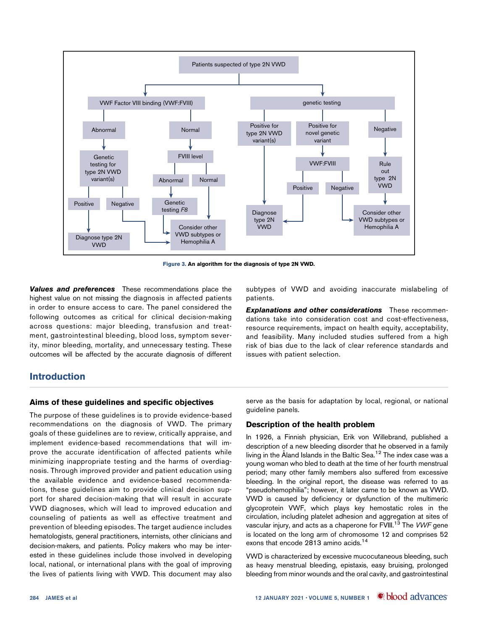

Figure 3. An algorithm for the diagnosis of type 2N VWD.

Values and preferences These recommendations place the highest value on not missing the diagnosis in affected patients in order to ensure access to care. The panel considered the following outcomes as critical for clinical decision-making across questions: major bleeding, transfusion and treatment, gastrointestinal bleeding, blood loss, symptom severity, minor bleeding, mortality, and unnecessary testing. These outcomes will be affected by the accurate diagnosis of different subtypes of VWD and avoiding inaccurate mislabeling of patients.

**Explanations and other considerations** These recommendations take into consideration cost and cost-effectiveness, resource requirements, impact on health equity, acceptability, and feasibility. Many included studies suffered from a high risk of bias due to the lack of clear reference standards and issues with patient selection.

# **Introduction**

#### Aims of these guidelines and specific objectives

The purpose of these guidelines is to provide evidence-based recommendations on the diagnosis of VWD. The primary goals of these guidelines are to review, critically appraise, and implement evidence-based recommendations that will improve the accurate identification of affected patients while minimizing inappropriate testing and the harms of overdiagnosis. Through improved provider and patient education using the available evidence and evidence-based recommendations, these guidelines aim to provide clinical decision support for shared decision-making that will result in accurate VWD diagnoses, which will lead to improved education and counseling of patients as well as effective treatment and prevention of bleeding episodes. The target audience includes hematologists, general practitioners, internists, other clinicians and decision-makers, and patients. Policy makers who may be interested in these guidelines include those involved in developing local, national, or international plans with the goal of improving the lives of patients living with VWD. This document may also

serve as the basis for adaptation by local, regional, or national guideline panels.

#### Description of the health problem

In 1926, a Finnish physician, Erik von Willebrand, published a description of a new bleeding disorder that he observed in a family living in the  $Å$ land Islands in the Baltic Sea.<sup>12</sup> The index case was a young woman who bled to death at the time of her fourth menstrual period; many other family members also suffered from excessive bleeding. In the original report, the disease was referred to as "pseudohemophilia"; however, it later came to be known as VWD. VWD is caused by deficiency or dysfunction of the multimeric glycoprotein VWF, which plays key hemostatic roles in the circulation, including platelet adhesion and aggregation at sites of vascular injury, and acts as a chaperone for FVIII.<sup>13</sup> The VWF gene is located on the long arm of chromosome 12 and comprises 52 exons that encode 2813 amino acids.<sup>14</sup>

VWD is characterized by excessive mucocutaneous bleeding, such as heavy menstrual bleeding, epistaxis, easy bruising, prolonged bleeding from minor wounds and the oral cavity, and gastrointestinal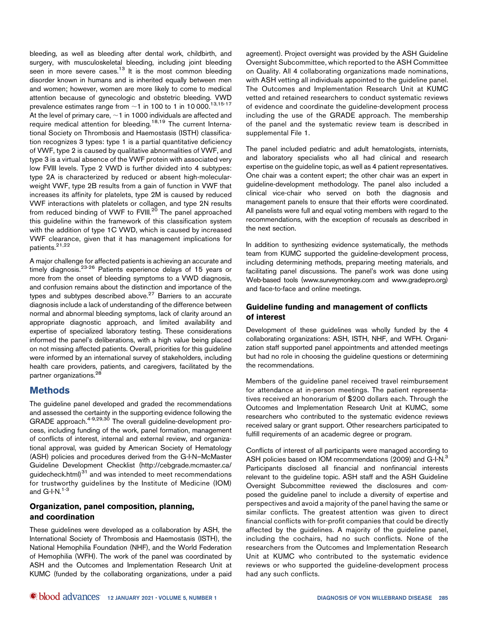bleeding, as well as bleeding after dental work, childbirth, and surgery, with musculoskeletal bleeding, including joint bleeding seen in more severe cases.<sup>13</sup> It is the most common bleeding disorder known in humans and is inherited equally between men and women; however, women are more likely to come to medical attention because of gynecologic and obstetric bleeding. VWD prevalence estimates range from  $\sim$ 1 in 100 to 1 in 10 000.<sup>13,15-17</sup> At the level of primary care,  $\sim$  1 in 1000 individuals are affected and require medical attention for bleeding.<sup>18,19</sup> The current International Society on Thrombosis and Haemostasis (ISTH) classification recognizes 3 types: type 1 is a partial quantitative deficiency of VWF, type 2 is caused by qualitative abnormalities of VWF, and type 3 is a virtual absence of the VWF protein with associated very low FVIII levels. Type 2 VWD is further divided into 4 subtypes: type 2A is characterized by reduced or absent high-molecularweight VWF, type 2B results from a gain of function in VWF that increases its affinity for platelets, type 2M is caused by reduced VWF interactions with platelets or collagen, and type 2N results from reduced binding of VWF to FVIII. $2^{\overline{0}}$  The panel approached this guideline within the framework of this classification system with the addition of type 1C VWD, which is caused by increased VWF clearance, given that it has management implications for patients.<sup>21,22</sup>

A major challenge for affected patients is achieving an accurate and timely diagnosis.<sup>23-26</sup> Patients experience delays of 15 years or more from the onset of bleeding symptoms to a VWD diagnosis, and confusion remains about the distinction and importance of the types and subtypes described above.<sup>27</sup> Barriers to an accurate diagnosis include a lack of understanding of the difference between normal and abnormal bleeding symptoms, lack of clarity around an appropriate diagnostic approach, and limited availability and expertise of specialized laboratory testing. These considerations informed the panel's deliberations, with a high value being placed on not missing affected patients. Overall, priorities for this guideline were informed by an international survey of stakeholders, including health care providers, patients, and caregivers, facilitated by the partner organizations.<sup>2</sup>

# Methods

The guideline panel developed and graded the recommendations and assessed the certainty in the supporting evidence following the GRADE approach.<sup>4-9,29,30</sup> The overall quideline-development process, including funding of the work, panel formation, management of conflicts of interest, internal and external review, and organizational approval, was guided by American Society of Hematology (ASH) policies and procedures derived from the G-I-N–McMaster Guideline Development Checklist [\(http://cebgrade.mcmaster.ca/](http://cebgrade.mcmaster.ca/guidecheck.html) [guidecheck.html](http://cebgrade.mcmaster.ca/guidecheck.html))<sup>31</sup> and was intended to meet recommendations for trustworthy guidelines by the Institute of Medicine (IOM) and  $G-I-N.<sup>1-3</sup>$ 

# Organization, panel composition, planning, and coordination

These guidelines were developed as a collaboration by ASH, the International Society of Thrombosis and Haemostasis (ISTH), the National Hemophilia Foundation (NHF), and the World Federation of Hemophilia (WFH). The work of the panel was coordinated by ASH and the Outcomes and Implementation Research Unit at KUMC (funded by the collaborating organizations, under a paid agreement). Project oversight was provided by the ASH Guideline Oversight Subcommittee, which reported to the ASH Committee on Quality. All 4 collaborating organizations made nominations, with ASH vetting all individuals appointed to the guideline panel. The Outcomes and Implementation Research Unit at KUMC vetted and retained researchers to conduct systematic reviews of evidence and coordinate the guideline-development process including the use of the GRADE approach. The membership of the panel and the systematic review team is described in supplemental File 1.

The panel included pediatric and adult hematologists, internists, and laboratory specialists who all had clinical and research expertise on the guideline topic, as well as 4 patient representatives. One chair was a content expert; the other chair was an expert in guideline-development methodology. The panel also included a clinical vice-chair who served on both the diagnosis and management panels to ensure that their efforts were coordinated. All panelists were full and equal voting members with regard to the recommendations, with the exception of recusals as described in the next section.

In addition to synthesizing evidence systematically, the methods team from KUMC supported the guideline-development process, including determining methods, preparing meeting materials, and facilitating panel discussions. The panel's work was done using Web-based tools ([www.surveymonkey.com](http://www.surveymonkey.com) and [www.gradepro.org](http://www.gradepro.org)) and face-to-face and online meetings.

# Guideline funding and management of conflicts of interest

Development of these guidelines was wholly funded by the 4 collaborating organizations: ASH, ISTH, NHF, and WFH. Organization staff supported panel appointments and attended meetings but had no role in choosing the guideline questions or determining the recommendations.

Members of the guideline panel received travel reimbursement for attendance at in-person meetings. The patient representatives received an honorarium of \$200 dollars each. Through the Outcomes and Implementation Research Unit at KUMC, some researchers who contributed to the systematic evidence reviews received salary or grant support. Other researchers participated to fulfill requirements of an academic degree or program.

Conflicts of interest of all participants were managed according to ASH policies based on IOM recommendations (2009) and G-I-N.<sup>3</sup> Participants disclosed all financial and nonfinancial interests relevant to the guideline topic. ASH staff and the ASH Guideline Oversight Subcommittee reviewed the disclosures and composed the guideline panel to include a diversity of expertise and perspectives and avoid a majority of the panel having the same or similar conflicts. The greatest attention was given to direct financial conflicts with for-profit companies that could be directly affected by the guidelines. A majority of the guideline panel, including the cochairs, had no such conflicts. None of the researchers from the Outcomes and Implementation Research Unit at KUMC who contributed to the systematic evidence reviews or who supported the guideline-development process had any such conflicts.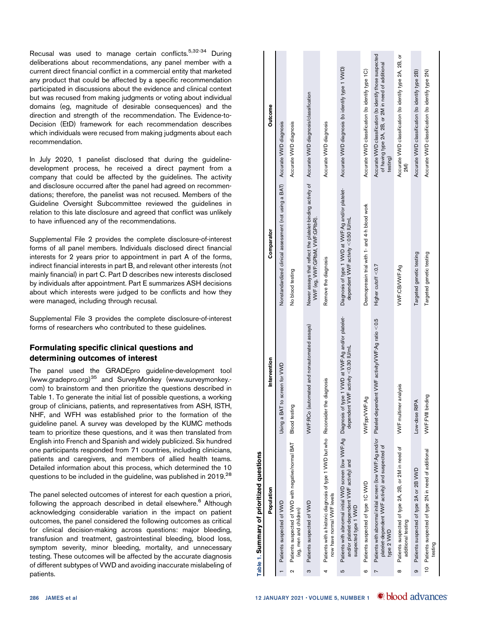Recusal was used to manage certain conflicts.<sup>5,32-34</sup> During deliberations about recommendations, any panel member with a current direct financial conflict in a commercial entity that marketed any product that could be affected by a specific recommendation participated in discussions about the evidence and clinical context but was recused from making judgments or voting about individual domains (eg, magnitude of desirable consequences) and the direction and strength of the recommendation. The Evidence-to-Decision (EtD) framework for each recommendation describes which individuals were recused from making judgments about each recommendation.

In July 2020, 1 panelist disclosed that during the guidelinedevelopment process, he received a direct payment from a company that could be affected by the guidelines. The activity and disclosure occurred after the panel had agreed on recommendations; therefore, the panelist was not recused. Members of the Guideline Oversight Subcommittee reviewed the guidelines in relation to this late disclosure and agreed that conflict was unlikely to have influenced any of the recommendations.

Supplemental File 2 provides the complete disclosure-of-interest forms of all panel members. Individuals disclosed direct financial interests for 2 years prior to appointment in part A of the forms, indirect financial interests in part B, and relevant other interests (not mainly financial) in part C. Part D describes new interests disclosed by individuals after appointment. Part E summarizes ASH decisions about which interests were judged to be conflicts and how they were managed, including through recusal.

Supplemental File 3 provides the complete disclosure-of-interest forms of researchers who contributed to these guidelines.

# Formulating specific clinical questions and determining outcomes of interest

The panel used the GRADEpro guideline-development tool ([www.gradepro.org\)](http://www.gradepro.org)<sup>35</sup> and SurveyMonkey [\(www.surveymonkey.](http://www.surveymonkey.com) [com](http://www.surveymonkey.com)) to brainstorm and then prioritize the questions described in Table 1. To generate the initial list of possible questions, a working group of clinicians, patients, and representatives from ASH, ISTH, NHF, and WFH was established prior to the formation of the guideline panel. A survey was developed by the KUMC methods team to prioritize these questions, and it was then translated from English into French and Spanish and widely publicized. Six hundred one participants responded from 71 countries, including clinicians, patients and caregivers, and members of allied health teams. Detailed information about this process, which determined the 10 questions to be included in the guideline, was published in 2019.<sup>28</sup>

The panel selected outcomes of interest for each question a priori, following the approach described in detail elsewhere.<sup>6</sup> Although acknowledging considerable variation in the impact on patient outcomes, the panel considered the following outcomes as critical for clinical decision-making across questions: major bleeding, transfusion and treatment, gastrointestinal bleeding, blood loss, symptom severity, minor bleeding, mortality, and unnecessary testing. These outcomes will be affected by the accurate diagnosis of different subtypes of VWD and avoiding inaccurate mislabeling of patients.

| Newer assays that reflect the platelet-binding activity of Accurate VVVD diagnosis/classification<br>Nonstandardized clinical assessment (not using a BAT) Accurate VWD diagnosis<br>testing)<br>$\frac{2}{2}$<br>Diagnosis of type 1 VVVD at VVVF:Ag and/or platelet-<br>Desmopressin trial with 1- and 4-h blood work<br>VWF (eg, VWF:GPIbM, VWF:GPIbR).<br>dependent VWF activity <0.50 IU/mL<br>Comparator<br>Targeted genetic testing<br>Targeted genetic testing<br>Remove the diagnosis<br>Higher cutoff <0.7<br>VWF:CB/VWF:Ag<br>No blood testing<br>Patients with abnormal initial VWD screen (low VWF:Ag Diagnosis of type 1 VWD at VWF:Ag and/or platelet-<br>Patients with abnormal initial screen (low VWF:Ag and/or Platelet-dependent VWF activity/VWF:Ag ratio <0.5<br>(automated and nonautomated assays)<br>dependent VWF activity <0.30 IU/mL<br>Intervention<br>Using a BAT to screen for VWD<br>Patients with a historic diagnosis of type 1 VVVD but who Reconsider the diagnosis<br><b>VWF</b> multimer analysis<br>binding<br><b>VWFpp/VVF:Ag</b><br>Low-dose RIPA<br>Blood testing<br><b>VWF:RCo</b><br><b>VWF:FVIII</b><br>Patients suspected of VVVD with negative/normal BAT<br>platelet-dependent VWF activity) and suspected of<br>Patients suspected of type 2A, 2B, or 2M in need of<br>Patients suspected of type 2N in need of additional<br>and/or platelet-dependent VVVF activity) and<br>Patients suspected of type 2A or 2B VVVD<br>Patients suspected of type 1C VVD<br>Population<br>now have normal VVVF levels<br>Patients suspected of VWD<br>Patients suspected of VWD<br>suspected type 1 VWD<br>(eg, men and children)<br>additional testing<br>type 2 VWD<br>testing<br>$\frac{1}{2}$<br>ო<br>Ю<br>თ<br>2<br>ဖ<br>N<br>$\infty$<br>4 | Table 1. Summary of prioritized questions |  |                                                                                                                |
|--------------------------------------------------------------------------------------------------------------------------------------------------------------------------------------------------------------------------------------------------------------------------------------------------------------------------------------------------------------------------------------------------------------------------------------------------------------------------------------------------------------------------------------------------------------------------------------------------------------------------------------------------------------------------------------------------------------------------------------------------------------------------------------------------------------------------------------------------------------------------------------------------------------------------------------------------------------------------------------------------------------------------------------------------------------------------------------------------------------------------------------------------------------------------------------------------------------------------------------------------------------------------------------------------------------------------------------------------------------------------------------------------------------------------------------------------------------------------------------------------------------------------------------------------------------------------------------------------------------------------------------------------------------------------------------------------------------------------------------------------------------------------------------|-------------------------------------------|--|----------------------------------------------------------------------------------------------------------------|
|                                                                                                                                                                                                                                                                                                                                                                                                                                                                                                                                                                                                                                                                                                                                                                                                                                                                                                                                                                                                                                                                                                                                                                                                                                                                                                                                                                                                                                                                                                                                                                                                                                                                                                                                                                                      |                                           |  | Outcome                                                                                                        |
|                                                                                                                                                                                                                                                                                                                                                                                                                                                                                                                                                                                                                                                                                                                                                                                                                                                                                                                                                                                                                                                                                                                                                                                                                                                                                                                                                                                                                                                                                                                                                                                                                                                                                                                                                                                      |                                           |  |                                                                                                                |
|                                                                                                                                                                                                                                                                                                                                                                                                                                                                                                                                                                                                                                                                                                                                                                                                                                                                                                                                                                                                                                                                                                                                                                                                                                                                                                                                                                                                                                                                                                                                                                                                                                                                                                                                                                                      |                                           |  | Accurate VVVD diagnosis                                                                                        |
|                                                                                                                                                                                                                                                                                                                                                                                                                                                                                                                                                                                                                                                                                                                                                                                                                                                                                                                                                                                                                                                                                                                                                                                                                                                                                                                                                                                                                                                                                                                                                                                                                                                                                                                                                                                      |                                           |  |                                                                                                                |
|                                                                                                                                                                                                                                                                                                                                                                                                                                                                                                                                                                                                                                                                                                                                                                                                                                                                                                                                                                                                                                                                                                                                                                                                                                                                                                                                                                                                                                                                                                                                                                                                                                                                                                                                                                                      |                                           |  | Accurate VVVD diagnosis                                                                                        |
|                                                                                                                                                                                                                                                                                                                                                                                                                                                                                                                                                                                                                                                                                                                                                                                                                                                                                                                                                                                                                                                                                                                                                                                                                                                                                                                                                                                                                                                                                                                                                                                                                                                                                                                                                                                      |                                           |  | Accurate VVVD diagnosis (to identify type 1 VVVD)                                                              |
|                                                                                                                                                                                                                                                                                                                                                                                                                                                                                                                                                                                                                                                                                                                                                                                                                                                                                                                                                                                                                                                                                                                                                                                                                                                                                                                                                                                                                                                                                                                                                                                                                                                                                                                                                                                      |                                           |  | Accurate VWD classification (to identify type 1C)                                                              |
|                                                                                                                                                                                                                                                                                                                                                                                                                                                                                                                                                                                                                                                                                                                                                                                                                                                                                                                                                                                                                                                                                                                                                                                                                                                                                                                                                                                                                                                                                                                                                                                                                                                                                                                                                                                      |                                           |  | Accurate VWD classification (to identify those suspected<br>of having type 2A, 2B, or 2M in need of additional |
|                                                                                                                                                                                                                                                                                                                                                                                                                                                                                                                                                                                                                                                                                                                                                                                                                                                                                                                                                                                                                                                                                                                                                                                                                                                                                                                                                                                                                                                                                                                                                                                                                                                                                                                                                                                      |                                           |  | Accurate VVVD classification (to identify type 2A, 2B, or                                                      |
|                                                                                                                                                                                                                                                                                                                                                                                                                                                                                                                                                                                                                                                                                                                                                                                                                                                                                                                                                                                                                                                                                                                                                                                                                                                                                                                                                                                                                                                                                                                                                                                                                                                                                                                                                                                      |                                           |  | Accurate VVVD classification (to identify type 2B)                                                             |
|                                                                                                                                                                                                                                                                                                                                                                                                                                                                                                                                                                                                                                                                                                                                                                                                                                                                                                                                                                                                                                                                                                                                                                                                                                                                                                                                                                                                                                                                                                                                                                                                                                                                                                                                                                                      |                                           |  | Accurate VVVD classification (to identify type 2N)                                                             |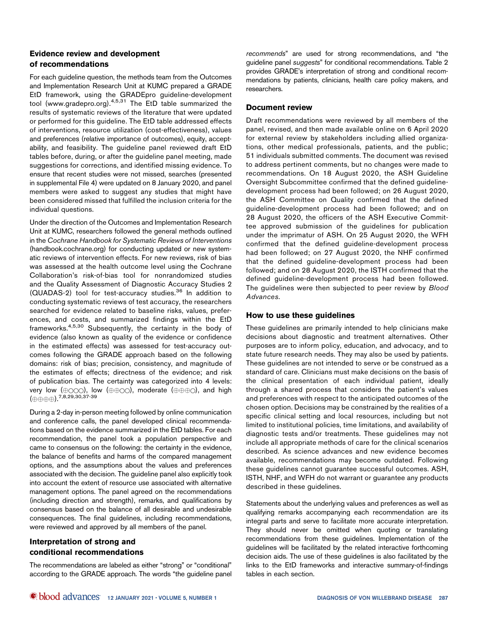# Evidence review and development of recommendations

For each guideline question, the methods team from the Outcomes and Implementation Research Unit at KUMC prepared a GRADE EtD framework, using the GRADEpro guideline-development tool ([www.gradepro.org\)](http://www.gradepro.org).4,5,31 The EtD table summarized the results of systematic reviews of the literature that were updated or performed for this guideline. The EtD table addressed effects of interventions, resource utilization (cost-effectiveness), values and preferences (relative importance of outcomes), equity, acceptability, and feasibility. The guideline panel reviewed draft EtD tables before, during, or after the guideline panel meeting, made suggestions for corrections, and identified missing evidence. To ensure that recent studies were not missed, searches (presented in supplemental File 4) were updated on 8 January 2020, and panel members were asked to suggest any studies that might have been considered missed that fulfilled the inclusion criteria for the individual questions.

Under the direction of the Outcomes and Implementation Research Unit at KUMC, researchers followed the general methods outlined in the Cochrane Handbook for Systematic Reviews of Interventions ([handbook.cochrane.org](http://handbook.cochrane.org)) for conducting updated or new systematic reviews of intervention effects. For new reviews, risk of bias was assessed at the health outcome level using the Cochrane Collaboration's risk-of-bias tool for nonrandomized studies and the Quality Assessment of Diagnostic Accuracy Studies 2 (QUADAS-2) tool for test-accuracy studies.<sup>36</sup> In addition to conducting systematic reviews of test accuracy, the researchers searched for evidence related to baseline risks, values, preferences, and costs, and summarized findings within the EtD frameworks.4,5,30 Subsequently, the certainty in the body of evidence (also known as quality of the evidence or confidence in the estimated effects) was assessed for test-accuracy outcomes following the GRADE approach based on the following domains: risk of bias; precision, consistency, and magnitude of the estimates of effects; directness of the evidence; and risk of publication bias. The certainty was categorized into 4 levels: very low (⊕◯◯◯), low (⊕⊕◯◯), moderate (⊕⊕⊕◯), and high (⊕⊕⊕⊕).<sup>7,8,29,30,37-39</sup>

During a 2-day in-person meeting followed by online communication and conference calls, the panel developed clinical recommendations based on the evidence summarized in the EtD tables. For each recommendation, the panel took a population perspective and came to consensus on the following: the certainty in the evidence, the balance of benefits and harms of the compared management options, and the assumptions about the values and preferences associated with the decision. The guideline panel also explicitly took into account the extent of resource use associated with alternative management options. The panel agreed on the recommendations (including direction and strength), remarks, and qualifications by consensus based on the balance of all desirable and undesirable consequences. The final guidelines, including recommendations, were reviewed and approved by all members of the panel.

# Interpretation of strong and conditional recommendations

The recommendations are labeled as either "strong" or "conditional" according to the GRADE approach. The words "the guideline panel recommends" are used for strong recommendations, and "the guideline panel suggests" for conditional recommendations. Table 2 provides GRADE's interpretation of strong and conditional recommendations by patients, clinicians, health care policy makers, and researchers.

# Document review

Draft recommendations were reviewed by all members of the panel, revised, and then made available online on 6 April 2020 for external review by stakeholders including allied organizations, other medical professionals, patients, and the public; 51 individuals submitted comments. The document was revised to address pertinent comments, but no changes were made to recommendations. On 18 August 2020, the ASH Guideline Oversight Subcommittee confirmed that the defined guidelinedevelopment process had been followed; on 26 August 2020, the ASH Committee on Quality confirmed that the defined guideline-development process had been followed; and on 28 August 2020, the officers of the ASH Executive Committee approved submission of the guidelines for publication under the imprimatur of ASH. On 25 August 2020, the WFH confirmed that the defined guideline-development process had been followed; on 27 August 2020, the NHF confirmed that the defined guideline-development process had been followed; and on 28 August 2020, the ISTH confirmed that the defined guideline-development process had been followed. The guidelines were then subjected to peer review by Blood Advances.

# How to use these guidelines

These guidelines are primarily intended to help clinicians make decisions about diagnostic and treatment alternatives. Other purposes are to inform policy, education, and advocacy, and to state future research needs. They may also be used by patients. These guidelines are not intended to serve or be construed as a standard of care. Clinicians must make decisions on the basis of the clinical presentation of each individual patient, ideally through a shared process that considers the patient's values and preferences with respect to the anticipated outcomes of the chosen option. Decisions may be constrained by the realities of a specific clinical setting and local resources, including but not limited to institutional policies, time limitations, and availability of diagnostic tests and/or treatments. These guidelines may not include all appropriate methods of care for the clinical scenarios described. As science advances and new evidence becomes available, recommendations may become outdated. Following these guidelines cannot guarantee successful outcomes. ASH, ISTH, NHF, and WFH do not warrant or guarantee any products described in these guidelines.

Statements about the underlying values and preferences as well as qualifying remarks accompanying each recommendation are its integral parts and serve to facilitate more accurate interpretation. They should never be omitted when quoting or translating recommendations from these guidelines. Implementation of the guidelines will be facilitated by the related interactive forthcoming decision aids. The use of these guidelines is also facilitated by the links to the EtD frameworks and interactive summary-of-findings tables in each section.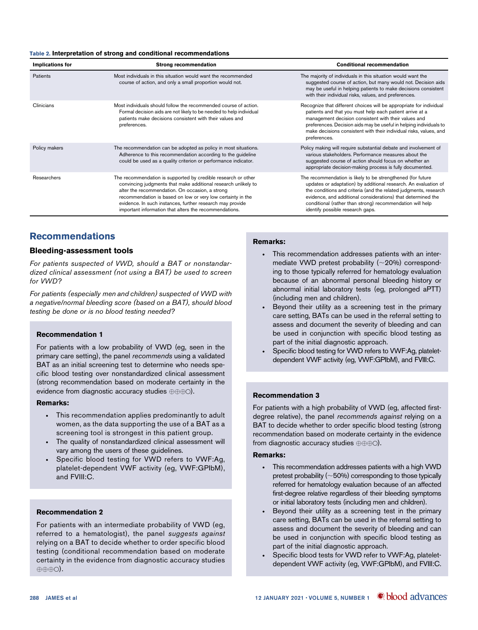<span id="page-8-0"></span>

|  |  |  | Table 2. Interpretation of strong and conditional recommendations |
|--|--|--|-------------------------------------------------------------------|
|--|--|--|-------------------------------------------------------------------|

| <b>Implications for</b> | Strong recommendation                                                                                                                                                                                                                                                                                                                                                    | <b>Conditional recommendation</b>                                                                                                                                                                                                                                                                                                                                   |
|-------------------------|--------------------------------------------------------------------------------------------------------------------------------------------------------------------------------------------------------------------------------------------------------------------------------------------------------------------------------------------------------------------------|---------------------------------------------------------------------------------------------------------------------------------------------------------------------------------------------------------------------------------------------------------------------------------------------------------------------------------------------------------------------|
| Patients                | Most individuals in this situation would want the recommended<br>course of action, and only a small proportion would not.                                                                                                                                                                                                                                                | The majority of individuals in this situation would want the<br>suggested course of action, but many would not. Decision aids<br>may be useful in helping patients to make decisions consistent<br>with their individual risks, values, and preferences.                                                                                                            |
| Clinicians              | Most individuals should follow the recommended course of action.<br>Formal decision aids are not likely to be needed to help individual<br>patients make decisions consistent with their values and<br>preferences.                                                                                                                                                      | Recognize that different choices will be appropriate for individual<br>patients and that you must help each patient arrive at a<br>management decision consistent with their values and<br>preferences. Decision aids may be useful in helping individuals to<br>make decisions consistent with their individual risks, values, and<br>preferences.                 |
| Policy makers           | The recommendation can be adopted as policy in most situations.<br>Adherence to this recommendation according to the guideline<br>could be used as a quality criterion or performance indicator.                                                                                                                                                                         | Policy making will require substantial debate and involvement of<br>various stakeholders. Performance measures about the<br>suggested course of action should focus on whether an<br>appropriate decision-making process is fully documented.                                                                                                                       |
| Researchers             | The recommendation is supported by credible research or other<br>convincing judgments that make additional research unlikely to<br>alter the recommendation. On occasion, a strong<br>recommendation is based on low or very low certainty in the<br>evidence. In such instances, further research may provide<br>important information that alters the recommendations. | The recommendation is likely to be strengthened (for future<br>updates or adaptation) by additional research. An evaluation of<br>the conditions and criteria (and the related judgments, research<br>evidence, and additional considerations) that determined the<br>conditional (rather than strong) recommendation will help<br>identify possible research gaps. |

# Recommendations

### Bleeding-assessment tools

For patients suspected of VWD, should a BAT or nonstandardized clinical assessment (not using a BAT) be used to screen for VWD?

For patients (especially men and children) suspected of VWD with a negative/normal bleeding score (based on a BAT), should blood testing be done or is no blood testing needed?

#### Recommendation 1

For patients with a low probability of VWD (eg, seen in the primary care setting), the panel recommends using a validated BAT as an initial screening test to determine who needs specific blood testing over nonstandardized clinical assessment (strong recommendation based on moderate certainty in the evidence from diagnostic accuracy studies  $\oplus \oplus \oplus \odot$ ).

#### Remarks:

- This recommendation applies predominantly to adult women, as the data supporting the use of a BAT as a screening tool is strongest in this patient group.
- The quality of nonstandardized clinical assessment will vary among the users of these guidelines.
- Specific blood testing for VWD refers to VWF:Ag, platelet-dependent VWF activity (eg, VWF:GPIbM), and FVIII:C.

#### Recommendation 2

For patients with an intermediate probability of VWD (eg, referred to a hematologist), the panel suggests against relying on a BAT to decide whether to order specific blood testing (conditional recommendation based on moderate certainty in the evidence from diagnostic accuracy studies  $\oplus \oplus \oplus \odot$ ).

### Remarks:

- This recommendation addresses patients with an intermediate VWD pretest probability  $(\sim 20\%)$  corresponding to those typically referred for hematology evaluation because of an abnormal personal bleeding history or abnormal initial laboratory tests (eg, prolonged aPTT) (including men and children).
- Beyond their utility as a screening test in the primary care setting, BATs can be used in the referral setting to assess and document the severity of bleeding and can be used in conjunction with specific blood testing as part of the initial diagnostic approach.
- Specific blood testing for VWD refers to VWF:Ag, plateletdependent VWF activity (eg, VWF:GPIbM), and FVIII:C.

#### Recommendation 3

For patients with a high probability of VWD (eg, affected firstdegree relative), the panel recommends against relying on a BAT to decide whether to order specific blood testing (strong recommendation based on moderate certainty in the evidence from diagnostic accuracy studies  $\oplus \oplus \oplus \odot$ ).

#### Remarks:

- This recommendation addresses patients with a high VWD pretest probability ( $\sim$  50%) corresponding to those typically referred for hematology evaluation because of an affected first-degree relative regardless of their bleeding symptoms or initial laboratory tests (including men and children).
- Beyond their utility as a screening test in the primary care setting, BATs can be used in the referral setting to assess and document the severity of bleeding and can be used in conjunction with specific blood testing as part of the initial diagnostic approach.
- Specific blood tests for VWD refer to VWF:Ag, plateletdependent VWF activity (eg, VWF:GPIbM), and FVIII:C.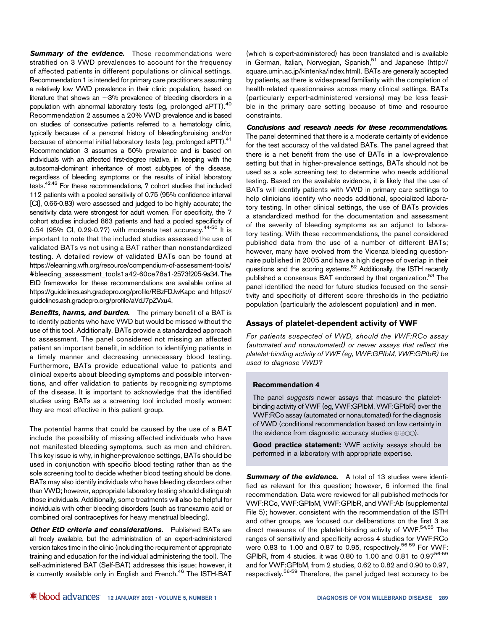<span id="page-9-0"></span>**Summary of the evidence.** These recommendations were stratified on 3 VWD prevalences to account for the frequency of affected patients in different populations or clinical settings. Recommendation 1 is intended for primary care practitioners assuming a relatively low VWD prevalence in their clinic population, based on literature that shows an  $\sim$ 3% prevalence of bleeding disorders in a population with abnormal laboratory tests (eg, prolonged aPTT).<sup>40</sup> Recommendation 2 assumes a 20% VWD prevalence and is based on studies of consecutive patients referred to a hematology clinic, typically because of a personal history of bleeding/bruising and/or because of abnormal initial laboratory tests (eg, prolonged aPTT).<sup>41</sup> Recommendation 3 assumes a 50% prevalence and is based on individuals with an affected first-degree relative, in keeping with the autosomal-dominant inheritance of most subtypes of the disease, regardless of bleeding symptoms or the results of initial laboratory tests.42,43 For these recommendations, 7 cohort studies that included 112 patients with a pooled sensitivity of 0.75 (95% confidence interval [CI], 0.66-0.83) were assessed and judged to be highly accurate; the sensitivity data were strongest for adult women. For specificity, the 7 cohort studies included 863 patients and had a pooled specificity of 0.54 (95% CI, 0.29-0.77) with moderate test accuracy.44-50 It is important to note that the included studies assessed the use of validated BATs vs not using a BAT rather than nonstandardized testing. A detailed review of validated BATs can be found at [https://elearning.wfh.org/resource/compendium-of-assessment-tools/](https://elearning.wfh.org/resource/compendium-of-assessment-tools/#bleeding_assessment_tools1a42-60ce78a1-2573f205-9a34) [#bleeding\\_assessment\\_tools1a42-60ce78a1-2573f205-9a34](https://elearning.wfh.org/resource/compendium-of-assessment-tools/#bleeding_assessment_tools1a42-60ce78a1-2573f205-9a34). The EtD frameworks for these recommendations are available online at <https://guidelines.ash.gradepro.org/profile/RBzFDJwKapc> and [https://](https://guidelines.ash.gradepro.org/profile/aVdJ7pZVxu4) [guidelines.ash.gradepro.org/profile/aVdJ7pZVxu4.](https://guidelines.ash.gradepro.org/profile/aVdJ7pZVxu4)

**Benefits, harms, and burden.** The primary benefit of a BAT is to identify patients who have VWD but would be missed without the use of this tool. Additionally, BATs provide a standardized approach to assessment. The panel considered not missing an affected patient an important benefit, in addition to identifying patients in a timely manner and decreasing unnecessary blood testing. Furthermore, BATs provide educational value to patients and clinical experts about bleeding symptoms and possible interventions, and offer validation to patients by recognizing symptoms of the disease. It is important to acknowledge that the identified studies using BATs as a screening tool included mostly women: they are most effective in this patient group.

The potential harms that could be caused by the use of a BAT include the possibility of missing affected individuals who have not manifested bleeding symptoms, such as men and children. This key issue is why, in higher-prevalence settings, BATs should be used in conjunction with specific blood testing rather than as the sole screening tool to decide whether blood testing should be done. BATs may also identify individuals who have bleeding disorders other than VWD; however, appropriate laboratory testing should distinguish those individuals. Additionally, some treatments will also be helpful for individuals with other bleeding disorders (such as tranexamic acid or combined oral contraceptives for heavy menstrual bleeding).

Other EtD criteria and considerations. Published BATs are all freely available, but the administration of an expert-administered version takes time in the clinic (including the requirement of appropriate training and education for the individual administering the tool). The self-administered BAT (Self-BAT) addresses this issue; however, it is currently available only in English and French.<sup>46</sup> The ISTH-BAT

(which is expert-administered) has been translated and is available in German, Italian, Norwegian, Spanish,<sup>51</sup> and Japanese ([http://](http://square.umin.ac.jp/kintenka/index.html) [square.umin.ac.jp/kintenka/index.html\)](http://square.umin.ac.jp/kintenka/index.html). BATs are generally accepted by patients, as there is widespread familiarity with the completion of health-related questionnaires across many clinical settings. BATs (particularly expert-administered versions) may be less feasible in the primary care setting because of time and resource constraints.

Conclusions and research needs for these recommendations. The panel determined that there is a moderate certainty of evidence for the test accuracy of the validated BATs. The panel agreed that there is a net benefit from the use of BATs in a low-prevalence setting but that in higher-prevalence settings, BATs should not be used as a sole screening test to determine who needs additional testing. Based on the available evidence, it is likely that the use of BATs will identify patients with VWD in primary care settings to help clinicians identify who needs additional, specialized laboratory testing. In other clinical settings, the use of BATs provides a standardized method for the documentation and assessment of the severity of bleeding symptoms as an adjunct to laboratory testing. With these recommendations, the panel considered published data from the use of a number of different BATs; however, many have evolved from the Vicenza bleeding questionnaire published in 2005 and have a high degree of overlap in their questions and the scoring systems.<sup>52</sup> Additionally, the ISTH recently published a consensus BAT endorsed by that organization.<sup>53</sup> The panel identified the need for future studies focused on the sensitivity and specificity of different score thresholds in the pediatric population (particularly the adolescent population) and in men.

# Assays of platelet-dependent activity of VWF

For patients suspected of VWD, should the VWF:RCo assay (automated and nonautomated) or newer assays that reflect the platelet-binding activity of VWF (eg, VWF:GPIbM, VWF:GPIbR) be used to diagnose VWD?

### Recommendation 4

The panel suggests newer assays that measure the plateletbinding activity of VWF (eg, VWF:GPIbM, VWF:GPIbR) over the VWF:RCo assay (automated or nonautomated) for the diagnosis of VWD (conditional recommendation based on low certainty in the evidence from diagnostic accuracy studies  $\oplus \oplus \odot \odot$ ).

Good practice statement: VWF activity assays should be performed in a laboratory with appropriate expertise.

**Summary of the evidence.** A total of 13 studies were identified as relevant for this question; however, 6 informed the final recommendation. Data were reviewed for all published methods for VWF:RCo, VWF:GPIbM, VWF:GPIbR, and VWF:Ab (supplemental File 5); however, consistent with the recommendation of the ISTH and other groups, we focused our deliberations on the first 3 as direct measures of the platelet-binding activity of VWF.<sup>54,55</sup> The ranges of sensitivity and specificity across 4 studies for VWF:RCo were 0.83 to 1.00 and 0.87 to 0.95, respectively.56-59 For VWF: GPIbR, from 4 studies, it was 0.80 to 1.00 and 0.81 to  $0.97^{56\cdot59}$ and for VWF:GPIbM, from 2 studies, 0.62 to 0.82 and 0.90 to 0.97, respectively.56-59 Therefore, the panel judged test accuracy to be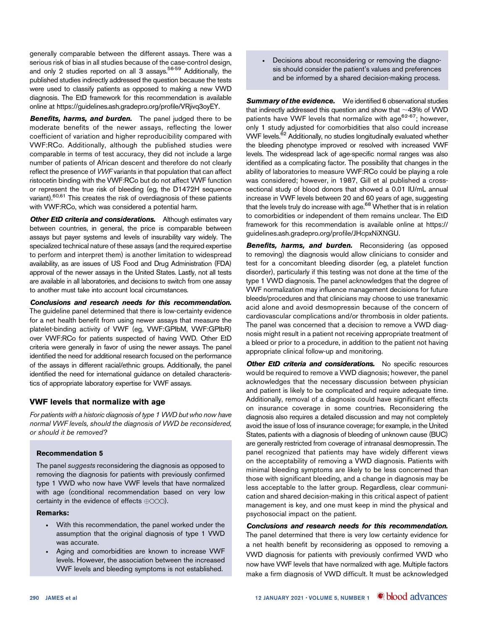<span id="page-10-0"></span>generally comparable between the different assays. There was a serious risk of bias in all studies because of the case-control design, and only 2 studies reported on all 3 assays.<sup>56-59</sup> Additionally, the published studies indirectly addressed the question because the tests were used to classify patients as opposed to making a new VWD diagnosis. The EtD framework for this recommendation is available online at<https://guidelines.ash.gradepro.org/profile/VRjivq3oyEY>.

Benefits, harms, and burden. The panel judged there to be moderate benefits of the newer assays, reflecting the lower coefficient of variation and higher reproducibility compared with VWF:RCo. Additionally, although the published studies were comparable in terms of test accuracy, they did not include a large number of patients of African descent and therefore do not clearly reflect the presence of VWF variants in that population that can affect ristocetin binding with the VWF:RCo but do not affect VWF function or represent the true risk of bleeding (eg, the D1472H sequence variant).<sup>60,61</sup> This creates the risk of overdiagnosis of these patients with VWF:RCo, which was considered a potential harm.

Other EtD criteria and considerations. Although estimates vary between countries, in general, the price is comparable between assays but payer systems and levels of insurability vary widely. The specialized technical nature of these assays (and the required expertise to perform and interpret them) is another limitation to widespread availability, as are issues of US Food and Drug Administration (FDA) approval of the newer assays in the United States. Lastly, not all tests are available in all laboratories, and decisions to switch from one assay to another must take into account local circumstances.

Conclusions and research needs for this recommendation. The guideline panel determined that there is low-certainty evidence for a net health benefit from using newer assays that measure the platelet-binding activity of VWF (eg, VWF:GPIbM, VWF:GPIbR) over VWF:RCo for patients suspected of having VWD. Other EtD criteria were generally in favor of using the newer assays. The panel identified the need for additional research focused on the performance of the assays in different racial/ethnic groups. Additionally, the panel identified the need for international guidance on detailed characteristics of appropriate laboratory expertise for VWF assays.

# VWF levels that normalize with age

For patients with a historic diagnosis of type 1 VWD but who now have normal VWF levels, should the diagnosis of VWD be reconsidered, or should it be removed?

#### Recommendation 5

The panel *suggests* reconsidering the diagnosis as opposed to removing the diagnosis for patients with previously confirmed type 1 VWD who now have VWF levels that have normalized with age (conditional recommendation based on very low certainty in the evidence of effects ⊕◯◯◯).

#### Remarks:

- With this recommendation, the panel worked under the assumption that the original diagnosis of type 1 VWD was accurate.
- Aging and comorbidities are known to increase VWF levels. However, the association between the increased VWF levels and bleeding symptoms is not established.

Decisions about reconsidering or removing the diagnosis should consider the patient's values and preferences and be informed by a shared decision-making process.

Summary of the evidence. We identified 6 observational studies that indirectly addressed this question and show that  $\sim$ 43% of VWD patients have VWF levels that normalize with age<sup>62-67</sup>; however, only 1 study adjusted for comorbidities that also could increase VWF levels.<sup>62</sup> Additionally, no studies longitudinally evaluated whether the bleeding phenotype improved or resolved with increased VWF levels. The widespread lack of age-specific normal ranges was also identified as a complicating factor. The possibility that changes in the ability of laboratories to measure VWF:RCo could be playing a role was considered; however, in 1987, Gill et al published a crosssectional study of blood donors that showed a 0.01 IU/mL annual increase in VWF levels between 20 and 60 years of age, suggesting that the levels truly do increase with age.<sup>68</sup> Whether that is in relation to comorbidities or independent of them remains unclear. The EtD framework for this recommendation is available online at [https://](https://guidelines.ash.gradepro.org/profile/JHcpxNiXNGU) [guidelines.ash.gradepro.org/profile/JHcpxNiXNGU](https://guidelines.ash.gradepro.org/profile/JHcpxNiXNGU).

Benefits, harms, and burden. Reconsidering (as opposed to removing) the diagnosis would allow clinicians to consider and test for a concomitant bleeding disorder (eg, a platelet function disorder), particularly if this testing was not done at the time of the type 1 VWD diagnosis. The panel acknowledges that the degree of VWF normalization may influence management decisions for future bleeds/procedures and that clinicians may choose to use tranexamic acid alone and avoid desmopressin because of the concern of cardiovascular complications and/or thrombosis in older patients. The panel was concerned that a decision to remove a VWD diagnosis might result in a patient not receiving appropriate treatment of a bleed or prior to a procedure, in addition to the patient not having appropriate clinical follow-up and monitoring.

Other EtD criteria and considerations. No specific resources would be required to remove a VWD diagnosis; however, the panel acknowledges that the necessary discussion between physician and patient is likely to be complicated and require adequate time. Additionally, removal of a diagnosis could have significant effects on insurance coverage in some countries. Reconsidering the diagnosis also requires a detailed discussion and may not completely avoid the issue of loss of insurance coverage; for example, in the United States, patients with a diagnosis of bleeding of unknown cause (BUC) are generally restricted from coverage of intranasal desmopressin. The panel recognized that patients may have widely different views on the acceptability of removing a VWD diagnosis. Patients with minimal bleeding symptoms are likely to be less concerned than those with significant bleeding, and a change in diagnosis may be less acceptable to the latter group. Regardless, clear communication and shared decision-making in this critical aspect of patient management is key, and one must keep in mind the physical and psychosocial impact on the patient.

Conclusions and research needs for this recommendation. The panel determined that there is very low certainty evidence for a net health benefit by reconsidering as opposed to removing a VWD diagnosis for patients with previously confirmed VWD who now have VWF levels that have normalized with age. Multiple factors make a firm diagnosis of VWD difficult. It must be acknowledged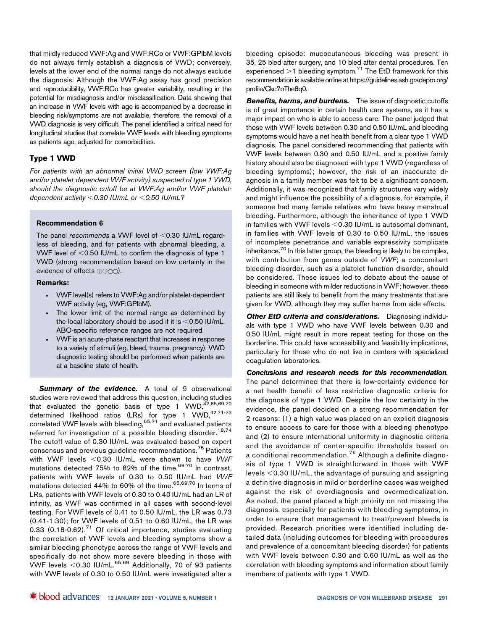<span id="page-11-0"></span>that mildly reduced VWF:Ag and VWF:RCo or VWF:GPIbM levels do not always firmly establish a diagnosis of VWD; conversely, levels at the lower end of the normal range do not always exclude the diagnosis. Although the VWF:Ag assay has good precision and reproducibility, VWF:RCo has greater variability, resulting in the potential for misdiagnosis and/or misclassification. Data showing that an increase in VWF levels with age is accompanied by a decrease in bleeding risk/symptoms are not available, therefore, the removal of a VWD diagnosis is very difficult. The panel identified a critical need for longitudinal studies that correlate VWF levels with bleeding symptoms as patients age, adjusted for comorbidities.

# Type 1 VWD

For patients with an abnormal initial VWD screen (low VWF:Ag and/or platelet-dependent VWF activity) suspected of type 1 VWD, should the diagnostic cutoff be at VWF:Ag and/or VWF plateletdependent activity  $<$  0.30 IU/mL or  $<$  0.50 IU/mL?

### Recommendation 6

The panel recommends a VWF level of  $<$ 0.30 IU/mL regardless of bleeding, and for patients with abnormal bleeding, a VWF level of  $<$  0.50 IU/mL to confirm the diagnosis of type 1 VWD (strong recommendation based on low certainty in the evidence of effects  $\oplus$  ⊕○○).

### Remarks:

- VWF level(s) refers to VWF:Ag and/or platelet-dependent VWF activity (eg, VWF:GPIbM).
- The lower limit of the normal range as determined by the local laboratory should be used if it is  $<$  0.50 IU/mL. ABO-specific reference ranges are not required.
- VWF is an acute-phase reactant that increases in response to a variety of stimuli (eg, bleed, trauma, pregnancy). VWD diagnostic testing should be performed when patients are at a baseline state of health.

**Summary of the evidence.** A total of 9 observational studies were reviewed that address this question, including studies that evaluated the genetic basis of type 1 VWD, $42,65,69,70$ determined likelihood ratios (LRs) for type 1 VWD, 42,71-73 correlated VWF levels with bleeding, <sup>65,71</sup> and evaluated patients referred for investigation of a possible bleeding disorder.<sup>18,74</sup> The cutoff value of 0.30 IU/mL was evaluated based on expert consensus and previous guideline recommendations.<sup>75</sup> Patients with VWF levels  $<$  0.30 IU/mL were shown to have VWF mutations detected 75% to 82% of the time.<sup>69,70</sup> In contrast, patients with VWF levels of 0.30 to 0.50 IU/mL had VWF mutations detected 44% to 60% of the time.<sup>65,69,70</sup> In terms of LRs, patients with VWF levels of 0.30 to 0.40 IU/mL had an LR of infinity, as VWF was confirmed in all cases with second-level testing. For VWF levels of 0.41 to 0.50 IU/mL, the LR was 0.73 (0.41-1.30); for VWF levels of 0.51 to 0.60 IU/mL, the LR was 0.33 (0.18-0.62). $71$  Of critical importance, studies evaluating the correlation of VWF levels and bleeding symptoms show a similar bleeding phenotype across the range of VWF levels and specifically do not show more severe bleeding in those with VWF levels  $<$  0.30 IU/mL.<sup>65,69</sup> Additionally, 70 of 93 patients with VWF levels of 0.30 to 0.50 IU/mL were investigated after a bleeding episode: mucocutaneous bleeding was present in 35, 25 bled after surgery, and 10 bled after dental procedures. Ten experienced  $>1$  bleeding symptom.<sup>71</sup> The EtD framework for this recommendation is available online at [https://guidelines.ash.gradepro.org/](https://guidelines.ash.gradepro.org/profile/Ckc7oThe8q0) [profile/Ckc7oThe8q0](https://guidelines.ash.gradepro.org/profile/Ckc7oThe8q0).

Benefits, harms, and burdens. The issue of diagnostic cutoffs is of great importance in certain health care systems, as it has a major impact on who is able to access care. The panel judged that those with VWF levels between 0.30 and 0.50 IU/mL and bleeding symptoms would have a net health benefit from a clear type 1 VWD diagnosis. The panel considered recommending that patients with VWF levels between 0.30 and 0.50 IU/mL and a positive family history should also be diagnosed with type 1 VWD (regardless of bleeding symptoms); however, the risk of an inaccurate diagnosis in a family member was felt to be a significant concern. Additionally, it was recognized that family structures vary widely and might influence the possibility of a diagnosis, for example, if someone had many female relatives who have heavy menstrual bleeding. Furthermore, although the inheritance of type 1 VWD in families with VWF levels  $<$  0.30 IU/mL is autosomal dominant, in families with VWF levels of 0.30 to 0.50 IU/mL, the issues of incomplete penetrance and variable expressivity complicate inheritance.<sup>70</sup> In this latter group, the bleeding is likely to be complex, with contribution from genes outside of VWF; a concomitant bleeding disorder, such as a platelet function disorder, should be considered. These issues led to debate about the cause of bleeding in someone with milder reductions in VWF; however, these patients are still likely to benefit from the many treatments that are given for VWD, although they may suffer harms from side effects.

Other EtD criteria and considerations. Diagnosing individuals with type 1 VWD who have VWF levels between 0.30 and 0.50 IU/mL might result in more repeat testing for those on the borderline. This could have accessibility and feasibility implications, particularly for those who do not live in centers with specialized coagulation laboratories.

Conclusions and research needs for this recommendation. The panel determined that there is low-certainty evidence for a net health benefit of less restrictive diagnostic criteria for the diagnosis of type 1 VWD. Despite the low certainty in the evidence, the panel decided on a strong recommendation for 2 reasons: (1) a high value was placed on an explicit diagnosis to ensure access to care for those with a bleeding phenotype and (2) to ensure international uniformity in diagnostic criteria and the avoidance of center-specific thresholds based on a conditional recommendation.<sup>76</sup> Although a definite diagnosis of type 1 VWD is straightforward in those with VWF levels  $<$  0.30 IU/mL, the advantage of pursuing and assigning a definitive diagnosis in mild or borderline cases was weighed against the risk of overdiagnosis and overmedicalization. As noted, the panel placed a high priority on not missing the diagnosis, especially for patients with bleeding symptoms, in order to ensure that management to treat/prevent bleeds is provided. Research priorities were identified including detailed data (including outcomes for bleeding with procedures and prevalence of a concomitant bleeding disorder) for patients with VWF levels between 0.30 and 0.60 IU/mL as well as the correlation with bleeding symptoms and information about family members of patients with type 1 VWD.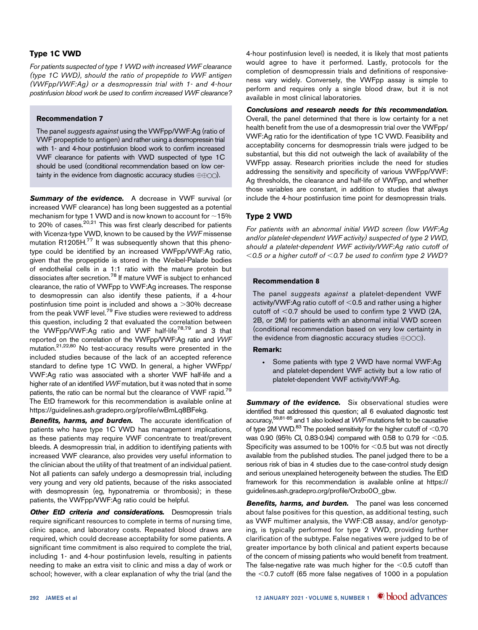# <span id="page-12-0"></span>Type 1C VWD

For patients suspected of type 1 VWD with increased VWF clearance (type 1C VWD), should the ratio of propeptide to VWF antigen (VWFpp/VWF:Ag) or a desmopressin trial with 1- and 4-hour postinfusion blood work be used to confirm increased VWF clearance?

#### Recommendation 7

The panel suggests against using the VWFpp/VWF:Ag (ratio of VWF propeptide to antigen) and rather using a desmopressin trial with 1- and 4-hour postinfusion blood work to confirm increased VWF clearance for patients with VWD suspected of type 1C should be used (conditional recommendation based on low certainty in the evidence from diagnostic accuracy studies ⊕⊕○○).

**Summary of the evidence.** A decrease in VWF survival (or increased VWF clearance) has long been suggested as a potential mechanism for type 1 VWD and is now known to account for  $\sim$  15% to 20% of cases.<sup>20,21</sup> This was first clearly described for patients with Vicenza-type VWD, known to be caused by the VWF missense mutation R1205H.<sup>77</sup> It was subsequently shown that this phenotype could be identified by an increased VWFpp/VWF:Ag ratio, given that the propeptide is stored in the Weibel-Palade bodies of endothelial cells in a 1:1 ratio with the mature protein but dissociates after secretion.<sup>78</sup> If mature VWF is subject to enhanced clearance, the ratio of VWFpp to VWF:Ag increases. The response to desmopressin can also identify these patients, if a 4-hour postinfusion time point is included and shows a  $>$ 30% decrease from the peak VWF level.<sup>79</sup> Five studies were reviewed to address this question, including 2 that evaluated the correlation between the VWFpp/VWF:Ag ratio and VWF half-life<sup>78,79</sup> and 3 that reported on the correlation of the VWFpp/VWF:Ag ratio and VWF mutation.21,22,80 No test-accuracy results were presented in the included studies because of the lack of an accepted reference standard to define type 1C VWD. In general, a higher VWFpp/ VWF:Ag ratio was associated with a shorter VWF half-life and a higher rate of an identified VWF mutation, but it was noted that in some patients, the ratio can be normal but the clearance of VWF rapid.<sup>79</sup> The EtD framework for this recommendation is available online at <https://guidelines.ash.gradepro.org/profile/wBmLq8BFekg>.

Benefits, harms, and burden. The accurate identification of patients who have type 1C VWD has management implications, as these patients may require VWF concentrate to treat/prevent bleeds. A desmopressin trial, in addition to identifying patients with increased VWF clearance, also provides very useful information to the clinician about the utility of that treatment of an individual patient. Not all patients can safely undergo a desmopressin trial, including very young and very old patients, because of the risks associated with desmopressin (eg, hyponatremia or thrombosis); in these patients, the VWFpp/VWF:Ag ratio could be helpful.

Other EtD criteria and considerations. Desmopressin trials require significant resources to complete in terms of nursing time, clinic space, and laboratory costs. Repeated blood draws are required, which could decrease acceptability for some patients. A significant time commitment is also required to complete the trial, including 1- and 4-hour postinfusion levels, resulting in patients needing to make an extra visit to clinic and miss a day of work or school; however, with a clear explanation of why the trial (and the 4-hour postinfusion level) is needed, it is likely that most patients would agree to have it performed. Lastly, protocols for the completion of desmopressin trials and definitions of responsiveness vary widely. Conversely, the VWFpp assay is simple to perform and requires only a single blood draw, but it is not available in most clinical laboratories.

### Conclusions and research needs for this recommendation.

Overall, the panel determined that there is low certainty for a net health benefit from the use of a desmopressin trial over the VWFpp/ VWF:Ag ratio for the identification of type 1C VWD. Feasibility and acceptability concerns for desmopressin trials were judged to be substantial, but this did not outweigh the lack of availability of the VWFpp assay. Research priorities include the need for studies addressing the sensitivity and specificity of various VWFpp/VWF: Ag thresholds, the clearance and half-life of VWFpp, and whether those variables are constant, in addition to studies that always include the 4-hour postinfusion time point for desmopressin trials.

### Type 2 VWD

For patients with an abnormal initial VWD screen (low VWF:Ag and/or platelet-dependent VWF activity) suspected of type 2 VWD, should a platelet-dependent VWF activity/VWF:Ag ratio cutoff of  $<$  0.5 or a higher cutoff of  $<$  0.7 be used to confirm type 2 VWD?

#### Recommendation 8

The panel suggests against a platelet-dependent VWF activity/VWF:Ag ratio cutoff of  $<$  0.5 and rather using a higher cutoff of  $<$  0.7 should be used to confirm type 2 VWD (2A, 2B, or 2M) for patients with an abnormal initial VWD screen (conditional recommendation based on very low certainty in the evidence from diagnostic accuracy studies  $\oplus$  $\odot$  $\odot$ ).

### Remark:

Some patients with type 2 VWD have normal VWF:Ag and platelet-dependent VWF activity but a low ratio of platelet-dependent VWF activity/VWF:Ag.

**Summary of the evidence.** Six observational studies were identified that addressed this question; all 6 evaluated diagnostic test accuracy,59,81-85 and 1 also looked at VWF mutations felt to be causative of type 2M VWD.<sup>83</sup> The pooled sensitivity for the higher cutoff of  $<$ 0.70 was 0.90 (95% CI, 0.83-0.94) compared with 0.58 to 0.79 for  $<$  0.5. Specificity was assumed to be 100% for  $<$  0.5 but was not directly available from the published studies. The panel judged there to be a serious risk of bias in 4 studies due to the case-control study design and serious unexplained heterogeneity between the studies. The EtD framework for this recommendation is available online at [https://](https://guidelines.ash.gradepro.org/profile/Orzbo0O_gbw) [guidelines.ash.gradepro.org/profile/Orzbo0O\\_gbw](https://guidelines.ash.gradepro.org/profile/Orzbo0O_gbw).

Benefits, harms, and burden. The panel was less concerned about false positives for this question, as additional testing, such as VWF multimer analysis, the VWF:CB assay, and/or genotyping, is typically performed for type 2 VWD, providing further clarification of the subtype. False negatives were judged to be of greater importance by both clinical and patient experts because of the concern of missing patients who would benefit from treatment. The false-negative rate was much higher for the  $<$ 0.5 cutoff than the  $<$ 0.7 cutoff (65 more false negatives of 1000 in a population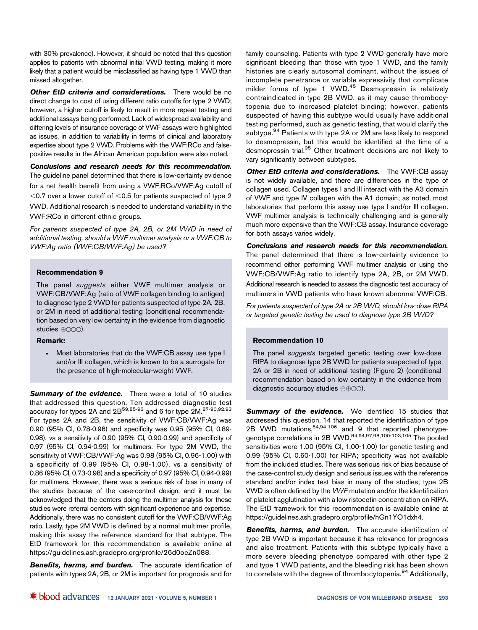<span id="page-13-0"></span>with 30% prevalence). However, it should be noted that this question applies to patients with abnormal initial VWD testing, making it more likely that a patient would be misclassified as having type 1 VWD than missed altogether.

Other EtD criteria and considerations. There would be no direct change to cost of using different ratio cutoffs for type 2 VWD; however, a higher cutoff is likely to result in more repeat testing and additional assays being performed. Lack of widespread availability and differing levels of insurance coverage of VWF assays were highlighted as issues, in addition to variability in terms of clinical and laboratory expertise about type 2 VWD. Problems with the VWF:RCo and falsepositive results in the African American population were also noted.

Conclusions and research needs for this recommendation. The guideline panel determined that there is low-certainty evidence for a net health benefit from using a VWF:RCo/VWF:Ag cutoff of  $<$  0.7 over a lower cutoff of  $<$  0.5 for patients suspected of type 2 VWD. Additional research is needed to understand variability in the VWF:RCo in different ethnic groups.

For patients suspected of type 2A, 2B, or 2M VWD in need of additional testing, should a VWF multimer analysis or a VWF:CB to VWF:Ag ratio (VWF:CB/VWF:Ag) be used?

#### Recommendation 9

The panel suggests either VWF multimer analysis or VWF:CB/VWF:Ag (ratio of VWF collagen binding to antigen) to diagnose type 2 VWD for patients suspected of type 2A, 2B, or 2M in need of additional testing (conditional recommendation based on very low certainty in the evidence from diagnostic studies ⊕◯◯◯).

#### Remark:

• Most laboratories that do the VWF:CB assay use type I and/or III collagen, which is known to be a surrogate for the presence of high-molecular-weight VWF.

Summary of the evidence. There were a total of 10 studies that addressed this question. Ten addressed diagnostic test accuracy for types 2A and  $2B^{59,85-93}$  and 6 for type  $2M$ . 87-90,92,93 For types 2A and 2B, the sensitivity of VWF:CB/VWF:Ag was 0.90 (95% CI, 0.78-0.96) and specificity was 0.95 (95% CI, 0.89- 0.98), vs a sensitivity of 0.90 (95% CI, 0.90-0.99) and specificity of 0.97 (95% CI, 0.94-0.99) for multimers. For type 2M VWD, the sensitivity of VWF:CB/VWF:Ag was 0.98 (95% CI, 0.96-1.00) with a specificity of 0.99 (95% CI, 0.98-1.00), vs a sensitivity of 0.86 (95% CI, 0.73-0.98) and a specificity of 0.97 (95% CI, 0.94-0.99) for multimers. However, there was a serious risk of bias in many of the studies because of the case-control design, and it must be acknowledged that the centers doing the multimer analysis for these studies were referral centers with significant experience and expertise. Additionally, there was no consistent cutoff for the VWF:CB/VWF:Ag ratio. Lastly, type 2M VWD is defined by a normal multimer profile, making this assay the reference standard for that subtype. The EtD framework for this recommendation is available online at <https://guidelines.ash.gradepro.org/profile/26d0oeZn088>.

Benefits, harms, and burden. The accurate identification of patients with types 2A, 2B, or 2M is important for prognosis and for

family counseling. Patients with type 2 VWD generally have more significant bleeding than those with type 1 VWD, and the family histories are clearly autosomal dominant, without the issues of incomplete penetrance or variable expressivity that complicate milder forms of type 1 VWD.<sup>45</sup> Desmopressin is relatively contraindicated in type 2B VWD, as it may cause thrombocytopenia due to increased platelet binding; however, patients suspected of having this subtype would usually have additional testing performed, such as genetic testing, that would clarify the subtype.<sup>94</sup> Patients with type 2A or 2M are less likely to respond to desmopressin, but this would be identified at the time of a desmopressin trial.<sup>95</sup> Other treatment decisions are not likely to vary significantly between subtypes.

**Other EtD criteria and considerations.** The VWF:CB assay is not widely available, and there are differences in the type of collagen used. Collagen types I and III interact with the A3 domain of VWF and type IV collagen with the A1 domain; as noted, most laboratories that perform this assay use type I and/or III collagen. VWF multimer analysis is technically challenging and is generally much more expensive than the VWF:CB assay. Insurance coverage for both assays varies widely.

Conclusions and research needs for this recommendation. The panel determined that there is low-certainty evidence to recommend either performing VWF multimer analysis or using the VWF:CB/VWF:Ag ratio to identify type 2A, 2B, or 2M VWD. Additional research is needed to assess the diagnostic test accuracy of multimers in VWD patients who have known abnormal VWF:CB.

For patients suspected of type 2A or 2B VWD, should low-dose RIPA or targeted genetic testing be used to diagnose type 2B VWD?

#### Recommendation 10

The panel suggests targeted genetic testing over low-dose RIPA to diagnose type 2B VWD for patients suspected of type 2A or 2B in need of additional testing (Figure 2) (conditional recommendation based on low certainty in the evidence from diagnostic accuracy studies  $\oplus$  ⊕○○).

Summary of the evidence. We identified 15 studies that addressed this question, 14 that reported the identification of type 2B VWD mutations, <sup>84,94-106</sup> and 9 that reported phenotypegenotype correlations in 2B VWD.<sup>84,94,97,98,100-103,105</sup> The pooled sensitivities were 1.00 (95% CI, 1.00-1.00) for genetic testing and 0.99 (95% CI, 0.60-1.00) for RIPA; specificity was not available from the included studies. There was serious risk of bias because of the case-control study design and serious issues with the reference standard and/or index test bias in many of the studies; type 2B VWD is often defined by the VWF mutation and/or the identification of platelet agglutination with a low ristocetin concentration on RIPA. The EtD framework for this recommendation is available online at <https://guidelines.ash.gradepro.org/profile/hGn1YO1dxh4>.

Benefits, harms, and burden. The accurate identification of type 2B VWD is important because it has relevance for prognosis and also treatment. Patients with this subtype typically have a more severe bleeding phenotype compared with other type 2 and type 1 VWD patients, and the bleeding risk has been shown to correlate with the degree of thrombocytopenia.<sup>94</sup> Additionally,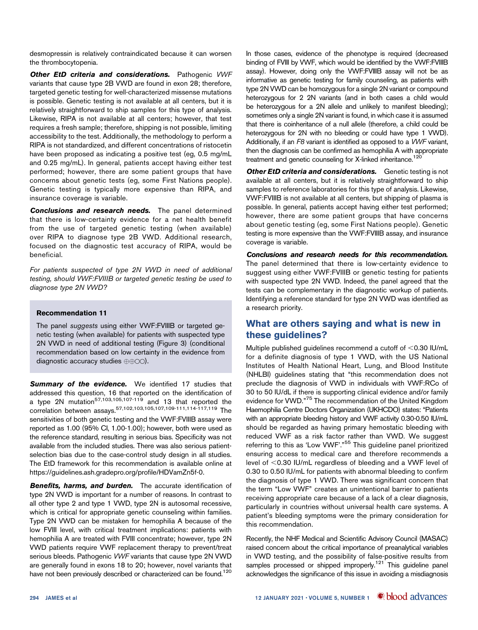<span id="page-14-0"></span>desmopressin is relatively contraindicated because it can worsen the thrombocytopenia.

Other EtD criteria and considerations. Pathogenic VWF variants that cause type 2B VWD are found in exon 28; therefore, targeted genetic testing for well-characterized missense mutations is possible. Genetic testing is not available at all centers, but it is relatively straightforward to ship samples for this type of analysis. Likewise, RIPA is not available at all centers; however, that test requires a fresh sample; therefore, shipping is not possible, limiting accessibility to the test. Additionally, the methodology to perform a RIPA is not standardized, and different concentrations of ristocetin have been proposed as indicating a positive test (eg, 0.5 mg/mL and 0.25 mg/mL). In general, patients accept having either test performed; however, there are some patient groups that have concerns about genetic tests (eg, some First Nations people). Genetic testing is typically more expensive than RIPA, and insurance coverage is variable.

Conclusions and research needs. The panel determined that there is low-certainty evidence for a net health benefit from the use of targeted genetic testing (when available) over RIPA to diagnose type 2B VWD. Additional research, focused on the diagnostic test accuracy of RIPA, would be beneficial.

For patients suspected of type 2N VWD in need of additional testing, should VWF:FVIIIB or targeted genetic testing be used to diagnose type 2N VWD?

### Recommendation 11

The panel suggests using either VWF:FVIIIB or targeted genetic testing (when available) for patients with suspected type 2N VWD in need of additional testing (Figure 3) (conditional recommendation based on low certainty in the evidence from diagnostic accuracy studies  $\oplus$  ⊕○○).

Summary of the evidence. We identified 17 studies that addressed this question, 16 that reported on the identification of a type 2N mutation<sup>57,103,105,107-119</sup> and 13 that reported the correlation between assays.57,102,103,105,107,109-111,114-117,119 The sensitivities of both genetic testing and the VWF:FVIIIB assay were reported as 1.00 (95% CI, 1.00-1.00); however, both were used as the reference standard, resulting in serious bias. Specificity was not available from the included studies. There was also serious patientselection bias due to the case-control study design in all studies. The EtD framework for this recommendation is available online at <https://guidelines.ash.gradepro.org/profile/HDVamZn5f-0>.

Benefits, harms, and burden. The accurate identification of type 2N VWD is important for a number of reasons. In contrast to all other type 2 and type 1 VWD, type 2N is autosomal recessive, which is critical for appropriate genetic counseling within families. Type 2N VWD can be mistaken for hemophilia A because of the low FVIII level, with critical treatment implications: patients with hemophilia A are treated with FVIII concentrate; however, type 2N VWD patients require VWF replacement therapy to prevent/treat serious bleeds. Pathogenic VWF variants that cause type 2N VWD are generally found in exons 18 to 20; however, novel variants that have not been previously described or characterized can be found.<sup>120</sup>

In those cases, evidence of the phenotype is required (decreased binding of FVIII by VWF, which would be identified by the VWF:FVIIIB assay). However, doing only the VWF:FVIIIB assay will not be as informative as genetic testing for family counseling, as patients with type 2N VWD can be homozygous for a single 2N variant or compound heterozygous for 2 2N variants (and in both cases a child would be heterozygous for a 2N allele and unlikely to manifest bleeding); sometimes only a single 2N variant is found, in which case it is assumed that there is coinheritance of a null allele (therefore, a child could be heterozygous for 2N with no bleeding or could have type 1 VWD). Additionally, if an F8 variant is identified as opposed to a VWF variant, then the diagnosis can be confirmed as hemophilia A with appropriate treatment and genetic counseling for X-linked inheritance.<sup>120</sup>

Other EtD criteria and considerations. Genetic testing is not available at all centers, but it is relatively straightforward to ship samples to reference laboratories for this type of analysis. Likewise, VWF:FVIIIB is not available at all centers, but shipping of plasma is possible. In general, patients accept having either test performed; however, there are some patient groups that have concerns about genetic testing (eg, some First Nations people). Genetic testing is more expensive than the VWF:FVIIIB assay, and insurance coverage is variable.

Conclusions and research needs for this recommendation. The panel determined that there is low-certainty evidence to suggest using either VWF:FVIIIB or genetic testing for patients with suspected type 2N VWD. Indeed, the panel agreed that the tests can be complementary in the diagnostic workup of patients. Identifying a reference standard for type 2N VWD was identified as a research priority.

# What are others saying and what is new in these guidelines?

Multiple published guidelines recommend a cutoff of  $<$  0.30 IU/mL for a definite diagnosis of type 1 VWD, with the US National Institutes of Health National Heart, Lung, and Blood Institute (NHLBI) guidelines stating that "this recommendation does not preclude the diagnosis of VWD in individuals with VWF:RCo of 30 to 50 IU/dL if there is supporting clinical evidence and/or family evidence for VWD."<sup>75</sup> The recommendation of the United Kingdom Haemophilia Centre Doctors Organization (UKHCDO) states: "Patients with an appropriate bleeding history and VWF activity 0.30-0.50 IU/mL should be regarded as having primary hemostatic bleeding with reduced VWF as a risk factor rather than VWD. We suggest referring to this as 'Low VWF'." <sup>55</sup> This guideline panel prioritized ensuring access to medical care and therefore recommends a level of <0.30 IU/mL regardless of bleeding and a VWF level of 0.30 to 0.50 IU/mL for patients with abnormal bleeding to confirm the diagnosis of type 1 VWD. There was significant concern that the term "Low VWF" creates an unintentional barrier to patients receiving appropriate care because of a lack of a clear diagnosis, particularly in countries without universal health care systems. A patient's bleeding symptoms were the primary consideration for this recommendation.

Recently, the NHF Medical and Scientific Advisory Council (MASAC) raised concern about the critical importance of preanalytical variables in VWD testing, and the possibility of false-positive results from samples processed or shipped improperly.<sup>121</sup> This guideline panel acknowledges the significance of this issue in avoiding a misdiagnosis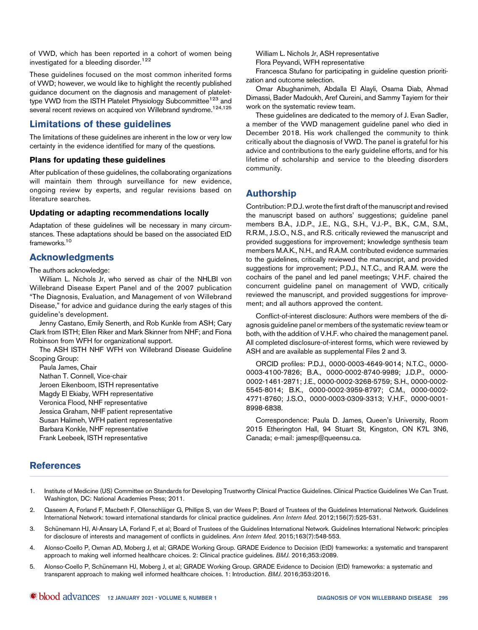# Limitations of these guidelines

investigated for a bleeding disorder.<sup>122</sup>

The limitations of these guidelines are inherent in the low or very low certainty in the evidence identified for many of the questions.

of VWD, which has been reported in a cohort of women being

These guidelines focused on the most common inherited forms of VWD; however, we would like to highlight the recently published guidance document on the diagnosis and management of platelet-

#### Plans for updating these guidelines

After publication of these guidelines, the collaborating organizations will maintain them through surveillance for new evidence, ongoing review by experts, and regular revisions based on literature searches.

#### Updating or adapting recommendations locally

Adaptation of these guidelines will be necessary in many circumstances. These adaptations should be based on the associated EtD frameworks.<sup>10</sup>

# Acknowledgments

The authors acknowledge:

William L. Nichols Jr, who served as chair of the NHLBI von Willebrand Disease Expert Panel and of the 2007 publication "The Diagnosis, Evaluation, and Management of von Willebrand Disease," for advice and guidance during the early stages of this guideline's development.

Jenny Castano, Emily Senerth, and Rob Kunkle from ASH; Cary Clark from ISTH; Ellen Riker and Mark Skinner from NHF; and Fiona Robinson from WFH for organizational support.

The ASH ISTH NHF WFH von Willebrand Disease Guideline Scoping Group:

Paula James, Chair Nathan T. Connell, Vice-chair Jeroen Eikenboom, ISTH representative Magdy El Ekiaby, WFH representative Veronica Flood, NHF representative Jessica Graham, NHF patient representative Susan Halimeh, WFH patient representative Barbara Konkle, NHF representative Frank Leebeek, ISTH representative

William L. Nichols Jr, ASH representative

Flora Peyvandi, WFH representative

Francesca Stufano for participating in guideline question prioritization and outcome selection.

Omar Abughanimeh, Abdalla El Alayli, Osama Diab, Ahmad Dimassi, Bader Madoukh, Aref Qureini, and Sammy Tayiem for their work on the systematic review team.

These guidelines are dedicated to the memory of J. Evan Sadler, a member of the VWD management guideline panel who died in December 2018. His work challenged the community to think critically about the diagnosis of VWD. The panel is grateful for his advice and contributions to the early guideline efforts, and for his lifetime of scholarship and service to the bleeding disorders community.

# Authorship

Contribution: P.D.J. wrote the first draft of the manuscript and revised the manuscript based on authors' suggestions; guideline panel members B.A., J.D.P., J.E., N.G., S.H., V.J.-P., B.K., C.M., S.M., R.R.M., J.S.O., N.S., and R.S. critically reviewed the manuscript and provided suggestions for improvement; knowledge synthesis team members M.A.K., N.H., and R.A.M. contributed evidence summaries to the guidelines, critically reviewed the manuscript, and provided suggestions for improvement; P.D.J., N.T.C., and R.A.M. were the cochairs of the panel and led panel meetings; V.H.F. chaired the concurrent guideline panel on management of VWD, critically reviewed the manuscript, and provided suggestions for improvement; and all authors approved the content.

Conflict-of-interest disclosure: Authors were members of the diagnosis guideline panel or members of the systematic review team or both, with the addition of V.H.F. who chaired the management panel. All completed disclosure-of-interest forms, which were reviewed by ASH and are available as supplemental Files 2 and 3.

ORCID profiles: P.D.J., [0000-0003-4649-9014;](https://orcid.org/0000-0003-4649-9014) N.T.C., [0000-](https://orcid.org/0000-0003-4100-7826) [0003-4100-7826;](https://orcid.org/0000-0003-4100-7826) B.A., [0000-0002-8740-9989;](https://orcid.org/0000-0002-8740-9989) J.D.P., [0000-](https://0000-0002-1461-2871) [0002-1461-2871;](https://0000-0002-1461-2871) J.E., [0000-0002-3268-5759;](https://0000-0002-3268-5759) S.H., [0000-0002-](https://0000-0002-5545-8014) [5545-8014;](https://0000-0002-5545-8014) B.K., [0000-0002-3959-8797;](https://orcid.org/0000-0002-3959-8797) C.M., [0000-0002-](https://0000-0002-4771-8760) [4771-8760;](https://0000-0002-4771-8760) J.S.O., [0000-0003-0309-3313;](https://orcid.org/0000-0003-0309-3313) V.H.F., [0000-0001-](https://0000-0001-8998-6838) [8998-6838.](https://0000-0001-8998-6838)

Correspondence: Paula D. James, Queen's University, Room 2015 Etherington Hall, 94 Stuart St, Kingston, ON K7L 3N6, Canada; e-mail: [jamesp@queensu.ca.](mailto:jamesp@queensu.ca)

# References

- 1. Institute of Medicine (US) Committee on Standards for Developing Trustworthy Clinical Practice Guidelines. Clinical Practice Guidelines We Can Trust. Washington, DC: National Academies Press; 2011.
- Qaseem A, Forland F, Macbeth F, Ollenschläger G, Phillips S, van der Wees P; Board of Trustees of the Guidelines International Network. Guidelines International Network: toward international standards for clinical practice guidelines. Ann Intern Med. 2012;156(7):525-531.
- 3. Schünemann HJ, Al-Ansary LA, Forland F, et al; Board of Trustees of the Guidelines International Network. Guidelines International Network: principles for disclosure of interests and management of conflicts in guidelines. Ann Intern Med. 2015;163(7):548-553.
- 4. Alonso-Coello P, Oxman AD, Moberg J, et al; GRADE Working Group. GRADE Evidence to Decision (EtD) frameworks: a systematic and transparent approach to making well informed healthcare choices. 2: Clinical practice guidelines. BMJ. 2016;353:i2089.
- 5. Alonso-Coello P, Schünemann HJ, Moberg J, et al; GRADE Working Group. GRADE Evidence to Decision (EtD) frameworks: a systematic and transparent approach to making well informed healthcare choices. 1: Introduction. BMJ. 2016;353:i2016.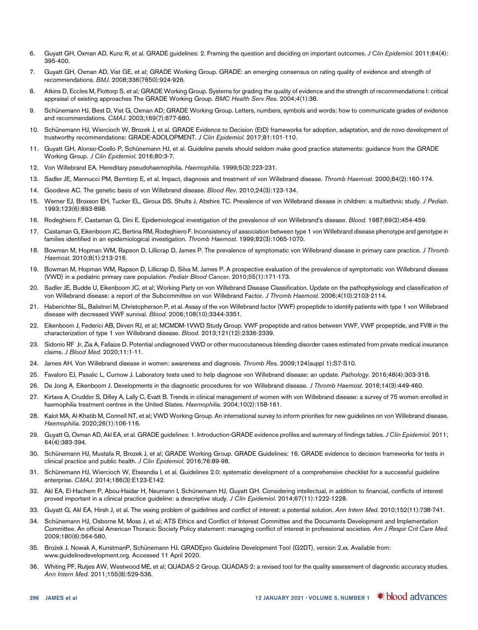- 6. Guyatt GH, Oxman AD, Kunz R, et al. GRADE guidelines: 2. Framing the question and deciding on important outcomes. J Clin Epidemiol. 2011;64(4): 395-400.
- 7. Guyatt GH, Oxman AD, Vist GE, et al; GRADE Working Group. GRADE: an emerging consensus on rating quality of evidence and strength of recommendations. BMJ. 2008;336(7650):924-926.
- 8. Atkins D, Eccles M, Flottorp S, et al; GRADE Working Group. Systems for grading the quality of evidence and the strength of recommendations I: critical appraisal of existing approaches The GRADE Working Group. BMC Health Serv Res. 2004;4(1):38.
- 9. Schünemann HJ, Best D, Vist G, Oxman AD; GRADE Working Group. Letters, numbers, symbols and words: how to communicate grades of evidence and recommendations. CMAJ. 2003;169(7):677-680.
- 10. Schünemann HJ, Wiercioch W, Brozek J, et al. GRADE Evidence to Decision (EtD) frameworks for adoption, adaptation, and de novo development of trustworthy recommendations: GRADE-ADOLOPMENT. J Clin Epidemiol. 2017;81:101-110.
- 11. Guyatt GH, Alonso-Coello P, Schunemann HJ, et al. Guideline panels should seldom make good practice statements: guidance from the GRADE ¨ Working Group. J Clin Epidemiol. 2016;80:3-7.
- 12. Von Willebrand EA. Hereditary pseudohaemophilia. Haemophilia. 1999;5(3):223-231.
- 13. Sadler JE, Mannucci PM, Berntorp E, et al. Impact, diagnosis and treatment of von Willebrand disease. Thromb Haemost. 2000;84(2):160-174.
- 14. Goodeve AC. The genetic basis of von Willebrand disease. Blood Rev. 2010;24(3):123-134.
- 15. Werner EJ, Broxson EH, Tucker EL, Giroux DS, Shults J, Abshire TC. Prevalence of von Willebrand disease in children: a multiethnic study. J Pediatr. 1993;123(6):893-898.
- 16. Rodeghiero F, Castaman G, Dini E. Epidemiological investigation of the prevalence of von Willebrand's disease. Blood. 1987;69(2):454-459.
- 17. Castaman G, Eikenboom JC, Bertina RM, Rodeghiero F. Inconsistency of association between type 1 von Willebrand disease phenotype and genotype in families identified in an epidemiological investigation. Thromb Haemost. 1999;82(3):1065-1070.
- 18. Bowman M, Hopman WM, Rapson D, Lillicrap D, James P. The prevalence of symptomatic von Willebrand disease in primary care practice. J Thromb Haemost. 2010;8(1):213-216.
- 19. Bowman M, Hopman WM, Rapson D, Lillicrap D, Silva M, James P. A prospective evaluation of the prevalence of symptomatic von Willebrand disease (VWD) in a pediatric primary care population. Pediatr Blood Cancer. 2010;55(1):171-173.
- 20. Sadler JE, Budde U, Eikenboom JC, et al; Working Party on von Willebrand Disease Classification. Update on the pathophysiology and classification of von Willebrand disease: a report of the Subcommittee on von Willebrand Factor. J Thromb Haemost. 2006;4(10):2103-2114.
- 21. Haberichter SL, Balistreri M, Christopherson P, et al. Assay of the von Willebrand factor (VWF) propeptide to identify patients with type 1 von Willebrand disease with decreased VWF survival. Blood. 2006;108(10):3344-3351.
- 22. Eikenboom J, Federici AB, Dirven RJ, et al; MCMDM-1VWD Study Group. VWF propeptide and ratios between VWF, VWF propeptide, and FVIII in the characterization of type 1 von Willebrand disease. Blood. 2013;121(12):2336-2339.
- 23. Sidonio RF Jr, Zia A, Fallaize D. Potential undiagnosed VWD or other mucocutaneous bleeding disorder cases estimated from private medical insurance claims. J Blood Med. 2020;11:1-11.
- 24. James AH. Von Willebrand disease in women: awareness and diagnosis. Thromb Res. 2009;124(suppl 1):S7-S10.
- 25. Favaloro EJ, Pasalic L, Curnow J. Laboratory tests used to help diagnose von Willebrand disease: an update. Pathology. 2016;48(4):303-318.
- 26. De Jong A, Eikenboom J. Developments in the diagnostic procedures for von Willebrand disease. J Thromb Haemost. 2016;14(3):449-460.
- 27. Kirtava A, Crudder S, Dilley A, Lally C, Evatt B. Trends in clinical management of women with von Willebrand disease: a survey of 75 women enrolled in haemophilia treatment centres in the United States. Haemophilia. 2004;10(2):158-161.
- 28. Kalot MA, Al-Khatib M, Connell NT, et al; VWD Working Group. An international survey to inform priorities for new guidelines on von Willebrand disease. Haemophilia. 2020;26(1):106-116.
- 29. Guyatt G, Oxman AD, Akl EA, et al. GRADE guidelines: 1. Introduction-GRADE evidence profiles and summary of findings tables. J Clin Epidemiol. 2011; 64(4):383-394.
- 30. Schünemann HJ, Mustafa R, Brozek J, et al; GRADE Working Group. GRADE Guidelines: 16. GRADE evidence to decision frameworks for tests in clinical practice and public health. J Clin Epidemiol. 2016;76:89-98.
- 31. Schünemann HJ, Wiercioch W, Etxeandia I, et al. Guidelines 2.0: systematic development of a comprehensive checklist for a successful guideline enterprise. CMAJ. 2014;186(3):E123-E142.
- 32. Akl EA, El-Hachem P, Abou-Haidar H, Neumann I, Schünemann HJ, Guyatt GH. Considering intellectual, in addition to financial, conflicts of interest proved important in a clinical practice guideline: a descriptive study. J Clin Epidemiol. 2014;67(11):1222-1228.
- 33. Guyatt G, Akl EA, Hirsh J, et al. The vexing problem of guidelines and conflict of interest: a potential solution. Ann Intern Med. 2010;152(11):738-741.
- 34. Schünemann HJ, Osborne M, Moss J, et al; ATS Ethics and Conflict of Interest Committee and the Documents Development and Implementation Committee. An official American Thoracic Society Policy statement: managing conflict of interest in professional societies. Am J Respir Crit Care Med. 2009;180(6):564-580.
- 35. Brożek J, Nowak A, KunstmanP, Schünemann HJ. GRADEpro Guideline Development Tool (G2DT), version 2.xx. Available from: [www.guidelinedevelopment.org](http://www.guidelinedevelopment.org). Accessed 11 April 2020.
- 36. Whiting PF, Rutjes AW, Westwood ME, et al; QUADAS-2 Group. QUADAS-2: a revised tool for the quality assessment of diagnostic accuracy studies. Ann Intern Med. 2011;155(8):529-536.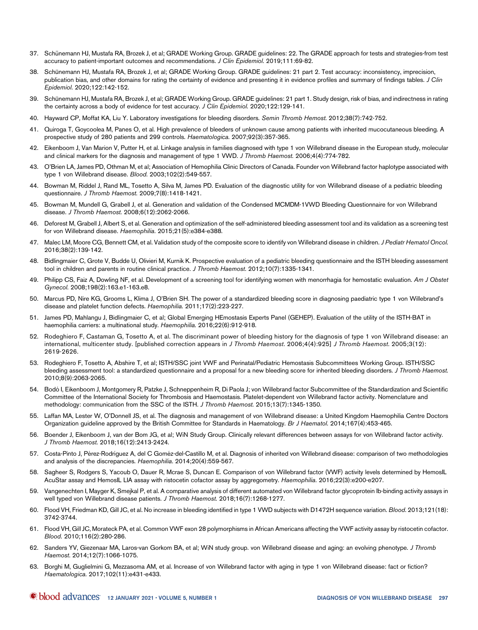- 37. Schünemann HJ, Mustafa RA, Brozek J, et al; GRADE Working Group. GRADE guidelines: 22. The GRADE approach for tests and strategies-from test accuracy to patient-important outcomes and recommendations. J Clin Epidemiol. 2019;111:69-82.
- 38. Schünemann HJ, Mustafa RA, Brozek J, et al; GRADE Working Group. GRADE guidelines: 21 part 2. Test accuracy: inconsistency, imprecision, publication bias, and other domains for rating the certainty of evidence and presenting it in evidence profiles and summary of findings tables. J Clin Epidemiol. 2020;122:142-152.
- 39. Schünemann HJ, Mustafa RA, Brozek J, et al; GRADE Working Group. GRADE guidelines: 21 part 1. Study design, risk of bias, and indirectness in rating the certainty across a body of evidence for test accuracy. J Clin Epidemiol. 2020;122:129-141.
- 40. Hayward CP, Moffat KA, Liu Y. Laboratory investigations for bleeding disorders. Semin Thromb Hemost. 2012;38(7):742-752.
- 41. Quiroga T, Goycoolea M, Panes O, et al. High prevalence of bleeders of unknown cause among patients with inherited mucocutaneous bleeding. A prospective study of 280 patients and 299 controls. Haematologica. 2007;92(3):357-365.
- 42. Eikenboom J, Van Marion V, Putter H, et al. Linkage analysis in families diagnosed with type 1 von Willebrand disease in the European study, molecular and clinical markers for the diagnosis and management of type 1 VWD. J Thromb Haemost. 2006;4(4):774-782.
- 43. O'Brien LA, James PD, Othman M, et al; Association of Hemophilia Clinic Directors of Canada. Founder von Willebrand factor haplotype associated with type 1 von Willebrand disease. Blood. 2003;102(2):549-557.
- 44. Bowman M, Riddel J, Rand ML, Tosetto A, Silva M, James PD. Evaluation of the diagnostic utility for von Willebrand disease of a pediatric bleeding questionnaire. J Thromb Haemost. 2009;7(8):1418-1421.
- 45. Bowman M, Mundell G, Grabell J, et al. Generation and validation of the Condensed MCMDM-1VWD Bleeding Questionnaire for von Willebrand disease. J Thromb Haemost. 2008;6(12):2062-2066.
- 46. Deforest M, Grabell J, Albert S, et al. Generation and optimization of the self-administered bleeding assessment tool and its validation as a screening test for von Willebrand disease. Haemophilia. 2015;21(5):e384-e388.
- 47. Malec LM, Moore CG, Bennett CM, et al. Validation study of the composite score to identify von Willebrand disease in children. J Pediatr Hematol Oncol. 2016;38(2):139-142.
- 48. Bidlingmaier C, Grote V, Budde U, Olivieri M, Kurnik K. Prospective evaluation of a pediatric bleeding questionnaire and the ISTH bleeding assessment tool in children and parents in routine clinical practice. J Thromb Haemost. 2012;10(7):1335-1341.
- 49. Philipp CS, Faiz A, Dowling NF, et al. Development of a screening tool for identifying women with menorrhagia for hemostatic evaluation. Am J Obstet Gynecol. 2008;198(2):163.e1-163.e8.
- 50. Marcus PD, Nire KG, Grooms L, Klima J, O'Brien SH. The power of a standardized bleeding score in diagnosing paediatric type 1 von Willebrand's disease and platelet function defects. Haemophilia. 2011;17(2):223-227.
- 51. James PD, Mahlangu J, Bidlingmaier C, et al; Global Emerging HEmostasis Experts Panel (GEHEP). Evaluation of the utility of the ISTH-BAT in haemophilia carriers: a multinational study. Haemophilia. 2016;22(6):912-918.
- 52. Rodeghiero F, Castaman G, Tosetto A, et al. The discriminant power of bleeding history for the diagnosis of type 1 von Willebrand disease: an international, multicenter study. [published correction appears in J Thromb Haemost. 2006;4(4):925] J Thromb Haemost. 2005;3(12): 2619-2626.
- 53. Rodeghiero F, Tosetto A, Abshire T, et al; ISTH/SSC joint VWF and Perinatal/Pediatric Hemostasis Subcommittees Working Group. ISTH/SSC bleeding assessment tool: a standardized questionnaire and a proposal for a new bleeding score for inherited bleeding disorders. J Thromb Haemost. 2010;8(9):2063-2065.
- 54. Bodo I, Eikenboom J, Montgomery R, Patzke J, Schneppenheim R, Di Paola J; von Willebrand factor Subcommittee of the Standardization and Scientific ´ Committee of the International Society for Thrombosis and Haemostasis. Platelet-dependent von Willebrand factor activity. Nomenclature and methodology: communication from the SSC of the ISTH. J Thromb Haemost. 2015;13(7):1345-1350.
- 55. Laffan MA, Lester W, O'Donnell JS, et al. The diagnosis and management of von Willebrand disease: a United Kingdom Haemophilia Centre Doctors Organization guideline approved by the British Committee for Standards in Haematology. Br J Haematol. 2014;167(4):453-465.
- 56. Boender J, Eikenboom J, van der Bom JG, et al; WiN Study Group. Clinically relevant differences between assays for von Willebrand factor activity. J Thromb Haemost. 2018;16(12):2413-2424.
- 57. Costa-Pinto J, Pérez-Rodríguez A, del C Goméz-del-Castillo M, et al. Diagnosis of inherited von Willebrand disease: comparison of two methodologies and analysis of the discrepancies. Haemophilia. 2014;20(4):559-567.
- 58. Sagheer S, Rodgers S, Yacoub O, Dauer R, Mcrae S, Duncan E. Comparison of von Willebrand factor (VWF) activity levels determined by HemosIL AcuStar assay and HemosIL LIA assay with ristocetin cofactor assay by aggregometry. Haemophilia. 2016;22(3):e200-e207.
- 59. Vangenechten I, Mayger K, Smejkal P, et al. A comparative analysis of different automated von Willebrand factor glycoprotein Ib-binding activity assays in well typed von Willebrand disease patients. J Thromb Haemost. 2018;16(7):1268-1277.
- 60. Flood VH, Friedman KD, Gill JC, et al. No increase in bleeding identified in type 1 VWD subjects with D1472H sequence variation. Blood. 2013;121(18): 3742-3744.
- 61. Flood VH, Gill JC, Morateck PA, et al. Common VWF exon 28 polymorphisms in African Americans affecting the VWF activity assay by ristocetin cofactor. Blood. 2010;116(2):280-286.
- 62. Sanders YV, Giezenaar MA, Laros-van Gorkom BA, et al; WiN study group. von Willebrand disease and aging: an evolving phenotype. J Thromb Haemost. 2014;12(7):1066-1075.
- 63. Borghi M, Guglielmini G, Mezzasoma AM, et al. Increase of von Willebrand factor with aging in type 1 von Willebrand disease: fact or fiction? Haematologica. 2017;102(11):e431-e433.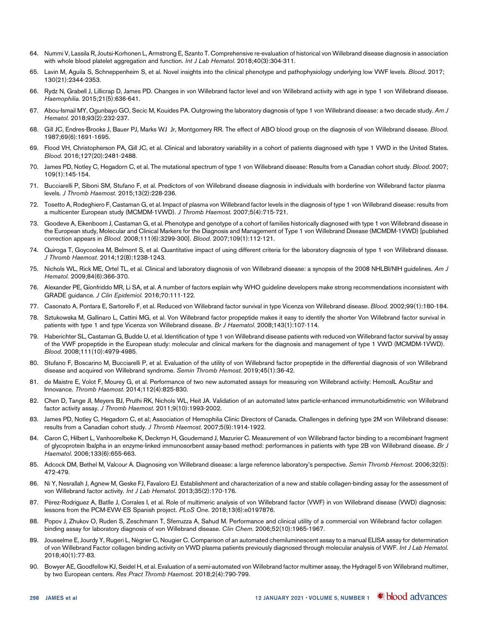- 64. Nummi V, Lassila R, Joutsi-Korhonen L, Armstrong E, Szanto T. Comprehensive re-evaluation of historical von Willebrand disease diagnosis in association with whole blood platelet aggregation and function. Int J Lab Hematol. 2018;40(3):304-311.
- 65. Lavin M, Aguila S, Schneppenheim S, et al. Novel insights into the clinical phenotype and pathophysiology underlying low VWF levels. Blood. 2017; 130(21):2344-2353.
- 66. Rydz N, Grabell J, Lillicrap D, James PD. Changes in von Willebrand factor level and von Willebrand activity with age in type 1 von Willebrand disease. Haemophilia. 2015;21(5):636-641.
- 67. Abou-Ismail MY, Ogunbayo GO, Secic M, Kouides PA. Outgrowing the laboratory diagnosis of type 1 von Willebrand disease: a two decade study. Am J Hematol. 2018;93(2):232-237.
- 68. Gill JC, Endres-Brooks J, Bauer PJ, Marks WJ Jr, Montgomery RR. The effect of ABO blood group on the diagnosis of von Willebrand disease. Blood. 1987;69(6):1691-1695.
- 69. Flood VH, Christopherson PA, Gill JC, et al. Clinical and laboratory variability in a cohort of patients diagnosed with type 1 VWD in the United States. Blood. 2016;127(20):2481-2488.
- 70. James PD, Notley C, Hegadorn C, et al. The mutational spectrum of type 1 von Willebrand disease: Results from a Canadian cohort study. Blood. 2007; 109(1):145-154.
- 71. Bucciarelli P, Siboni SM, Stufano F, et al. Predictors of von Willebrand disease diagnosis in individuals with borderline von Willebrand factor plasma levels. J Thromb Haemost. 2015;13(2):228-236.
- 72. Tosetto A, Rodeghiero F, Castaman G, et al. Impact of plasma von Willebrand factor levels in the diagnosis of type 1 von Willebrand disease: results from a multicenter European study (MCMDM-1VWD). J Thromb Haemost. 2007;5(4):715-721.
- 73. Goodeve A, Eikenboom J, Castaman G, et al. Phenotype and genotype of a cohort of families historically diagnosed with type 1 von Willebrand disease in the European study, Molecular and Clinical Markers for the Diagnosis and Management of Type 1 von Willebrand Disease (MCMDM-1VWD) [published correction appears in Blood. 2008;111(6):3299-300]. Blood. 2007;109(1):112-121.
- 74. Quiroga T, Goycoolea M, Belmont S, et al. Quantitative impact of using different criteria for the laboratory diagnosis of type 1 von Willebrand disease. J Thromb Haemost. 2014;12(8):1238-1243.
- 75. Nichols WL, Rick ME, Ortel TL, et al. Clinical and laboratory diagnosis of von Willebrand disease: a synopsis of the 2008 NHLBI/NIH guidelines. Am J Hematol. 2009;84(6):366-370.
- 76. Alexander PE, Gionfriddo MR, Li SA, et al. A number of factors explain why WHO guideline developers make strong recommendations inconsistent with GRADE guidance. J Clin Epidemiol. 2016;70:111-122.
- 77. Casonato A, Pontara E, Sartorello F, et al. Reduced von Willebrand factor survival in type Vicenza von Willebrand disease. Blood. 2002;99(1):180-184.
- 78. Sztukowska M, Gallinaro L, Cattini MG, et al. Von Willebrand factor propeptide makes it easy to identify the shorter Von Willebrand factor survival in patients with type 1 and type Vicenza von Willebrand disease. Br J Haematol. 2008;143(1):107-114.
- 79. Haberichter SL, Castaman G, Budde U, et al. Identification of type 1 von Willebrand disease patients with reduced von Willebrand factor survival by assay of the VWF propeptide in the European study: molecular and clinical markers for the diagnosis and management of type 1 VWD (MCMDM-1VWD). Blood. 2008;111(10):4979-4985.
- 80. Stufano F, Boscarino M, Bucciarelli P, et al. Evaluation of the utility of von Willebrand factor propeptide in the differential diagnosis of von Willebrand disease and acquired von Willebrand syndrome. Semin Thromb Hemost. 2019;45(1):36-42.
- 81. de Maistre E, Volot F, Mourey G, et al. Performance of two new automated assays for measuring von Willebrand activity: HemosIL AcuStar and Innovance. Thromb Haemost. 2014;112(4):825-830.
- 82. Chen D, Tange JI, Meyers BJ, Pruthi RK, Nichols WL, Heit JA. Validation of an automated latex particle-enhanced immunoturbidimetric von Willebrand factor activity assay. J Thromb Haemost. 2011;9(10):1993-2002.
- 83. James PD, Notley C, Hegadorn C, et al; Association of Hemophilia Clinic Directors of Canada. Challenges in defining type 2M von Willebrand disease: results from a Canadian cohort study. J Thromb Haemost. 2007;5(9):1914-1922.
- 84. Caron C, Hilbert L, Vanhoorelbeke K, Deckmyn H, Goudemand J, Mazurier C. Measurement of von Willebrand factor binding to a recombinant fragment of glycoprotein Ibalpha in an enzyme-linked immunosorbent assay-based method: performances in patients with type 2B von Willebrand disease. Br J Haematol. 2006;133(6):655-663.
- 85. Adcock DM, Bethel M, Valcour A. Diagnosing von Willebrand disease: a large reference laboratory's perspective. Semin Thromb Hemost. 2006;32(5): 472-479.
- 86. Ni Y, Nesrallah J, Agnew M, Geske FJ, Favaloro EJ. Establishment and characterization of a new and stable collagen-binding assay for the assessment of von Willebrand factor activity. Int J Lab Hematol. 2013;35(2):170-176.
- 87. Perez-Rodriquez A, Batlle J, Corrales I, et al. Role of multimeric analysis of von Willebrand factor (VWF) in von Willebrand disease (VWD) diagnosis: lessons from the PCM-EVW-ES Spanish project. PLoS One. 2018;13(6):e0197876.
- 88. Popov J, Zhukov O, Ruden S, Zeschmann T, Sferruzza A, Sahud M. Performance and clinical utility of a commercial von Willebrand factor collagen binding assay for laboratory diagnosis of von Willebrand disease. Clin Chem. 2006;52(10):1965-1967.
- 89. Jousselme E, Jourdy Y, Rugeri L, Négrier C, Nougier C. Comparison of an automated chemiluminescent assay to a manual ELISA assay for determination of von Willebrand Factor collagen binding activity on VWD plasma patients previously diagnosed through molecular analysis of VWF. Int J Lab Hematol. 2018;40(1):77-83.
- Bowyer AE, Goodfellow KJ, Seidel H, et al. Evaluation of a semi-automated von Willebrand factor multimer assay, the Hydragel 5 von Willebrand multimer, by two European centers. Res Pract Thromb Haemost. 2018;2(4):790-799.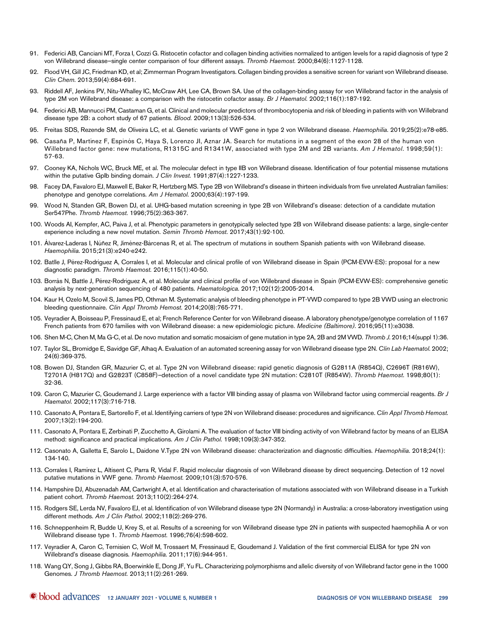- 91. Federici AB, Canciani MT, Forza I, Cozzi G. Ristocetin cofactor and collagen binding activities normalized to antigen levels for a rapid diagnosis of type 2 von Willebrand disease–single center comparison of four different assays. Thromb Haemost. 2000;84(6):1127-1128.
- 92. Flood VH, Gill JC, Friedman KD, et al; Zimmerman Program Investigators. Collagen binding provides a sensitive screen for variant von Willebrand disease. Clin Chem. 2013;59(4):684-691.
- 93. Riddell AF, Jenkins PV, Nitu-Whalley IC, McCraw AH, Lee CA, Brown SA. Use of the collagen-binding assay for von Willebrand factor in the analysis of type 2M von Willebrand disease: a comparison with the ristocetin cofactor assay. Br J Haematol. 2002;116(1):187-192.
- 94. Federici AB, Mannucci PM, Castaman G, et al. Clinical and molecular predictors of thrombocytopenia and risk of bleeding in patients with von Willebrand disease type 2B: a cohort study of 67 patients. Blood. 2009;113(3):526-534.
- 95. Freitas SDS, Rezende SM, de Oliveira LC, et al. Genetic variants of VWF gene in type 2 von Willebrand disease. Haemophilia. 2019;25(2):e78-e85.
- 96. Casaña P, Martínez F, Espinós C, Haya S, Lorenzo JI, Aznar JA. Search for mutations in a segment of the exon 28 of the human von Willebrand factor gene: new mutations, R1315C and R1341W, associated with type 2M and 2B variants. Am J Hematol. 1998;59(1): 57-63.
- 97. Cooney KA, Nichols WC, Bruck ME, et al. The molecular defect in type IIB von Willebrand disease. Identification of four potential missense mutations within the putative GpIb binding domain. J Clin Invest. 1991;87(4):1227-1233.
- Facey DA, Favaloro EJ, Maxwell E, Baker R, Hertzberg MS. Type 2B von Willebrand's disease in thirteen individuals from five unrelated Australian families: phenotype and genotype correlations. Am J Hematol. 2000;63(4):197-199.
- 99. Wood N, Standen GR, Bowen DJ, et al. UHG-based mutation screening in type 2B von Willebrand's disease: detection of a candidate mutation Ser547Phe. Thromb Haemost. 1996;75(2):363-367.
- 100. Woods AI, Kempfer, AC, Paiva J, et al. Phenotypic parameters in genotypically selected type 2B von Willebrand disease patients: a large, single-center experience including a new novel mutation. Semin Thromb Hemost. 2017;43(1):92-100.
- 101. Alvarez-Laderas I, Núñez R, Jiménez-Bárcenas R, et al. The spectrum of mutations in southern Spanish patients with von Willebrand disease. Haemophilia. 2015;21(3):e240-e242.
- 102. Batlle J, Pérez-Rodríguez A, Corrales I, et al. Molecular and clinical profile of von Willebrand disease in Spain (PCM-EVW-ES): proposal for a new diagnostic paradigm. Thromb Haemost. 2016;115(1):40-50.
- 103. Borras N, Battle J, Perez-Rodriguez A, et al. Molecular and clinical profile of von Willebrand disease in Spain (PCM-EVW-ES): comprehensive genetic analysis by next-generation sequencing of 480 patients. Haematologica. 2017;102(12):2005-2014.
- 104. Kaur H, Ozelo M, Scovil S, James PD, Othman M. Systematic analysis of bleeding phenotype in PT-VWD compared to type 2B VWD using an electronic bleeding questionnaire. Clin Appl Thromb Hemost. 2014;20(8):765-771.
- 105. Veyradier A, Boisseau P, Fressinaud E, et al; French Reference Center for von Willebrand disease. A laboratory phenotype/genotype correlation of 1167 French patients from 670 families with von Willebrand disease: a new epidemiologic picture. Medicine (Baltimore). 2016;95(11):e3038.
- 106. Shen M-C, Chen M, Ma G-C, et al. De novo mutation and somatic mosaicism of gene mutation in type 2A, 2B and 2M VWD. Thromb J. 2016;14(suppl 1):36.
- 107. Taylor SL, Bromidge E, Savidge GF, Alhag A. Evaluation of an automated screening assay for von Willebrand disease type 2N. Clin Lab Haematol. 2002; 24(6):369-375.
- 108. Bowen DJ, Standen GR, Mazurier C, et al. Type 2N von Willebrand disease: rapid genetic diagnosis of G2811A (R854Q), C2696T (R816W), T2701A (H817Q) and G2823T (C858F)–detection of a novel candidate type 2N mutation: C2810T (R854W). Thromb Haemost. 1998;80(1): 32-36.
- 109. Caron C, Mazurier C, Goudemand J. Large experience with a factor VIII binding assay of plasma von Willebrand factor using commercial reagents. Br J Haematol. 2002;117(3):716-718.
- 110. Casonato A, Pontara E, Sartorello F, et al. Identifying carriers of type 2N von Willebrand disease: procedures and significance. Clin Appl Thromb Hemost. 2007;13(2):194-200.
- 111. Casonato A, Pontara E, Zerbinati P, Zucchetto A, Girolami A. The evaluation of factor VIII binding activity of von Willebrand factor by means of an ELISA method: significance and practical implications. Am J Clin Pathol. 1998;109(3):347-352.
- 112. Casonato A, Galletta E, Sarolo L, Daidone V.Type 2N von Willebrand disease: characterization and diagnostic difficulties. Haemophilia. 2018;24(1): 134-140.
- 113. Corrales I, Ram´ırez L, Altisent C, Parra R, Vidal F. Rapid molecular diagnosis of von Willebrand disease by direct sequencing. Detection of 12 novel putative mutations in VWF gene. Thromb Haemost. 2009;101(3):570-576.
- 114. Hampshire DJ, Abuzenadah AM, Cartwright A, et al. Identification and characterisation of mutations associated with von Willebrand disease in a Turkish patient cohort. Thromb Haemost. 2013;110(2):264-274.
- 115. Rodgers SE, Lerda NV, Favaloro EJ, et al. Identification of von Willebrand disease type 2N (Normandy) in Australia: a cross-laboratory investigation using different methods. Am J Clin Pathol. 2002;118(2):269-276.
- 116. Schneppenheim R, Budde U, Krey S, et al. Results of a screening for von Willebrand disease type 2N in patients with suspected haemophilia A or von Willebrand disease type 1. Thromb Haemost. 1996;76(4):598-602.
- 117. Veyradier A, Caron C, Ternisien C, Wolf M, Trossaert M, Fressinaud E, Goudemand J. Validation of the first commercial ELISA for type 2N von Willebrand's disease diagnosis. Haemophilia. 2011;17(6):944-951.
- 118. Wang QY, Song J, Gibbs RA, Boerwinkle E, Dong JF, Yu FL. Characterizing polymorphisms and allelic diversity of von Willebrand factor gene in the 1000 Genomes. J Thromb Haemost. 2013;11(2):261-269.